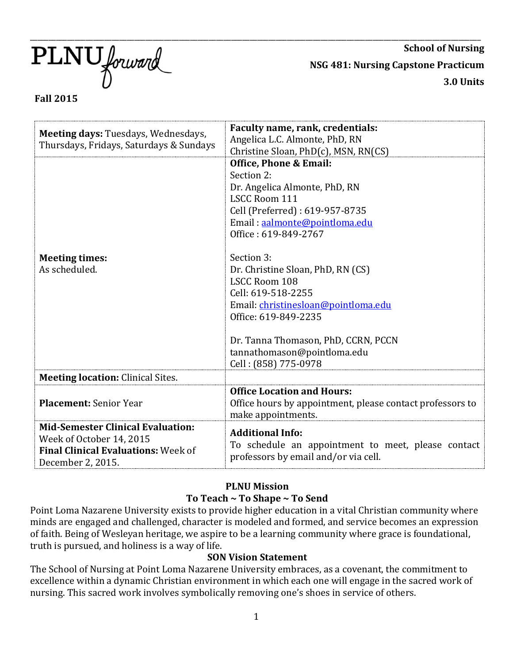$\text{PLNU}$  forward

**School of Nursing NSG 481: Nursing Capstone Practicum 3.0 Units**

# **Fall 2015**

| Faculty name, rank, credentials:<br>Meeting days: Tuesdays, Wednesdays,<br>Angelica L.C. Almonte, PhD, RN<br>Thursdays, Fridays, Saturdays & Sundays<br>Christine Sloan, PhD(c), MSN, RN(CS)<br><b>Office, Phone &amp; Email:</b><br>Section 2:<br>Dr. Angelica Almonte, PhD, RN<br><b>LSCC Room 111</b><br>Cell (Preferred): 619-957-8735<br>Email: aalmonte@pointloma.edu |
|-----------------------------------------------------------------------------------------------------------------------------------------------------------------------------------------------------------------------------------------------------------------------------------------------------------------------------------------------------------------------------|
|                                                                                                                                                                                                                                                                                                                                                                             |
|                                                                                                                                                                                                                                                                                                                                                                             |
|                                                                                                                                                                                                                                                                                                                                                                             |
|                                                                                                                                                                                                                                                                                                                                                                             |
|                                                                                                                                                                                                                                                                                                                                                                             |
|                                                                                                                                                                                                                                                                                                                                                                             |
|                                                                                                                                                                                                                                                                                                                                                                             |
|                                                                                                                                                                                                                                                                                                                                                                             |
|                                                                                                                                                                                                                                                                                                                                                                             |
| Office: 619-849-2767                                                                                                                                                                                                                                                                                                                                                        |
|                                                                                                                                                                                                                                                                                                                                                                             |
| Section 3:<br><b>Meeting times:</b>                                                                                                                                                                                                                                                                                                                                         |
| As scheduled.<br>Dr. Christine Sloan, PhD, RN (CS)                                                                                                                                                                                                                                                                                                                          |
| <b>LSCC Room 108</b>                                                                                                                                                                                                                                                                                                                                                        |
| Cell: 619-518-2255                                                                                                                                                                                                                                                                                                                                                          |
| Email: christinesloan@pointloma.edu                                                                                                                                                                                                                                                                                                                                         |
| Office: 619-849-2235                                                                                                                                                                                                                                                                                                                                                        |
|                                                                                                                                                                                                                                                                                                                                                                             |
| Dr. Tanna Thomason, PhD, CCRN, PCCN                                                                                                                                                                                                                                                                                                                                         |
| tannathomason@pointloma.edu                                                                                                                                                                                                                                                                                                                                                 |
|                                                                                                                                                                                                                                                                                                                                                                             |
| Cell: (858) 775-0978                                                                                                                                                                                                                                                                                                                                                        |
| <b>Meeting location: Clinical Sites.</b>                                                                                                                                                                                                                                                                                                                                    |
| <b>Office Location and Hours:</b>                                                                                                                                                                                                                                                                                                                                           |
| <b>Placement: Senior Year</b><br>Office hours by appointment, please contact professors to                                                                                                                                                                                                                                                                                  |
| make appointments.                                                                                                                                                                                                                                                                                                                                                          |
| <b>Mid-Semester Clinical Evaluation:</b>                                                                                                                                                                                                                                                                                                                                    |
| <b>Additional Info:</b><br>Week of October 14, 2015                                                                                                                                                                                                                                                                                                                         |
| To schedule an appointment to meet, please contact<br><b>Final Clinical Evaluations: Week of</b>                                                                                                                                                                                                                                                                            |
| professors by email and/or via cell.<br>December 2, 2015.                                                                                                                                                                                                                                                                                                                   |

#### **PLNU Mission To Teach ~ To Shape ~ To Send**

Point Loma Nazarene University exists to provide higher education in a vital Christian community where minds are engaged and challenged, character is modeled and formed, and service becomes an expression of faith. Being of Wesleyan heritage, we aspire to be a learning community where grace is foundational, truth is pursued, and holiness is a way of life.

#### **SON Vision Statement**

The School of Nursing at Point Loma Nazarene University embraces, as a covenant, the commitment to excellence within a dynamic Christian environment in which each one will engage in the sacred work of nursing. This sacred work involves symbolically removing one's shoes in service of others.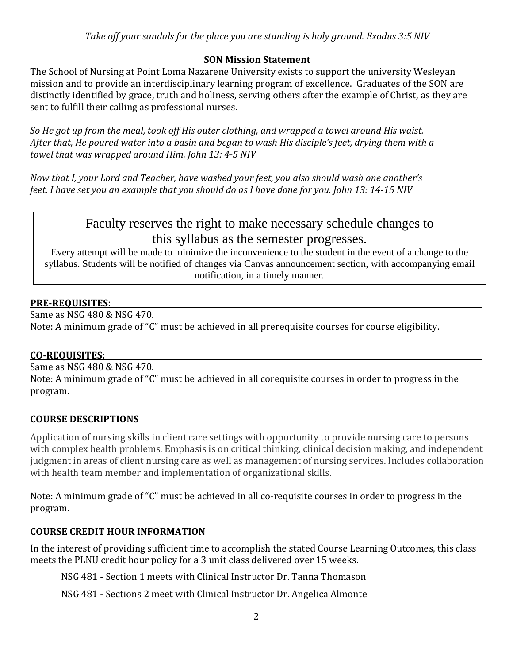# **SON Mission Statement**

The School of Nursing at Point Loma Nazarene University exists to support the university Wesleyan mission and to provide an interdisciplinary learning program of excellence. Graduates of the SON are distinctly identified by grace, truth and holiness, serving others after the example of Christ, as they are sent to fulfill their calling as professional nurses.

*So He got up from the meal, took off His outer clothing, and wrapped a towel around His waist. After that, He poured water into a basin and began to wash His disciple's feet, drying them with a towel that was wrapped around Him. John 13: 4-5 NIV* 

*Now that I, your Lord and Teacher, have washed your feet, you also should wash one another's feet. I have set you an example that you should do as I have done for you. John 13: 14-15 NIV*

# Faculty reserves the right to make necessary schedule changes to this syllabus as the semester progresses.<br>Every attempt will be made to minimize the inconvenience to the student in the event of a change to the

syllabus. Students will be notified of changes via Canvas announcement section, with accompanying email notification, in a timely manner.

#### **PRE-REQUISITES:**

Same as NSG 480 & NSG 470. Note: A minimum grade of "C" must be achieved in all prerequisite courses for course eligibility.

#### **CO-REQUISITES:**

Same as NSG 480 & NSG 470. Note: A minimum grade of "C" must be achieved in all corequisite courses in order to progress in the program.

# **COURSE DESCRIPTIONS**

Application of nursing skills in client care settings with opportunity to provide nursing care to persons with complex health problems. Emphasis is on critical thinking, clinical decision making, and independent judgment in areas of client nursing care as well as management of nursing services. Includes collaboration with health team member and implementation of organizational skills.

Note: A minimum grade of "C" must be achieved in all co-requisite courses in order to progress in the program.

#### **COURSE CREDIT HOUR INFORMATION**

In the interest of providing sufficient time to accomplish the stated Course Learning Outcomes, this class meets the PLNU credit hour policy for a 3 unit class delivered over 15 weeks.

NSG 481 - Section 1 meets with Clinical Instructor Dr. Tanna Thomason

NSG 481 - Sections 2 meet with Clinical Instructor Dr. Angelica Almonte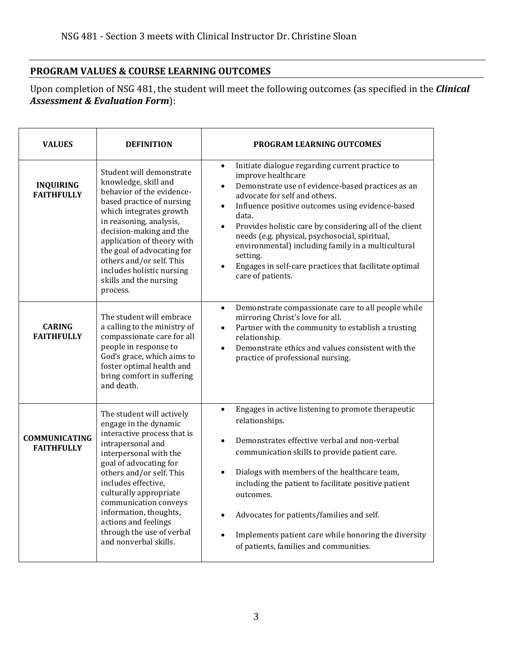# **PROGRAM VALUES & COURSE LEARNING OUTCOMES**

Upon completion of NSG 481, the student will meet the following outcomes (as specified in the *Clinical Assessment & Evaluation Form*):

| <b>VALUES</b>                             | <b>DEFINITION</b>                                                                                                                                                                                                                                                                                                                                                        | <b>PROGRAM LEARNING OUTCOMES</b>                                                                                                                                                                                                                                                                                                                                                                                                                                                                                              |  |  |
|-------------------------------------------|--------------------------------------------------------------------------------------------------------------------------------------------------------------------------------------------------------------------------------------------------------------------------------------------------------------------------------------------------------------------------|-------------------------------------------------------------------------------------------------------------------------------------------------------------------------------------------------------------------------------------------------------------------------------------------------------------------------------------------------------------------------------------------------------------------------------------------------------------------------------------------------------------------------------|--|--|
| <b>INQUIRING</b><br><b>FAITHFULLY</b>     | Student will demonstrate<br>knowledge, skill and<br>behavior of the evidence-<br>based practice of nursing<br>which integrates growth<br>in reasoning, analysis,<br>decision-making and the<br>application of theory with<br>the goal of advocating for<br>others and/or self. This<br>includes holistic nursing<br>skills and the nursing<br>process.                   | Initiate dialogue regarding current practice to<br>$\bullet$<br>improve healthcare<br>Demonstrate use of evidence-based practices as an<br>advocate for self and others.<br>Influence positive outcomes using evidence-based<br>$\bullet$<br>data.<br>Provides holistic care by considering all of the client<br>$\bullet$<br>needs (e.g. physical, psychosocial, spiritual,<br>environmental) including family in a multicultural<br>setting.<br>Engages in self-care practices that facilitate optimal<br>care of patients. |  |  |
| <b>CARING</b><br><b>FAITHFULLY</b>        | The student will embrace<br>a calling to the ministry of<br>compassionate care for all<br>people in response to<br>God's grace, which aims to<br>foster optimal health and<br>bring comfort in suffering<br>and death.                                                                                                                                                   | Demonstrate compassionate care to all people while<br>$\bullet$<br>mirroring Christ's love for all.<br>Partner with the community to establish a trusting<br>$\bullet$<br>relationship.<br>Demonstrate ethics and values consistent with the<br>practice of professional nursing.                                                                                                                                                                                                                                             |  |  |
| <b>COMMUNICATING</b><br><b>FAITHFULLY</b> | The student will actively<br>engage in the dynamic<br>interactive process that is<br>intrapersonal and<br>interpersonal with the<br>goal of advocating for<br>others and/or self. This<br>includes effective,<br>culturally appropriate<br>communication conveys<br>information, thoughts,<br>actions and feelings<br>through the use of verbal<br>and nonverbal skills. | Engages in active listening to promote therapeutic<br>$\bullet$<br>relationships.<br>Demonstrates effective verbal and non-verbal<br>communication skills to provide patient care.<br>Dialogs with members of the healthcare team,<br>including the patient to facilitate positive patient<br>outcomes.<br>Advocates for patients/families and self.<br>$\bullet$<br>Implements patient care while honoring the diversity<br>of patients, families and communities.                                                           |  |  |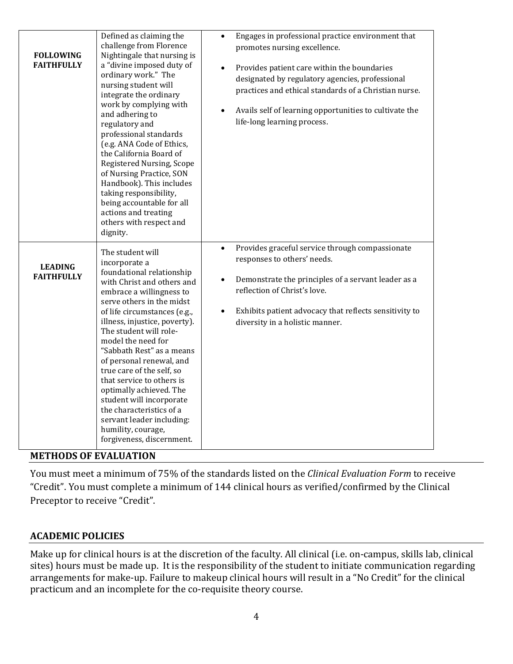| <b>FOLLOWING</b><br><b>FAITHFULLY</b> | Defined as claiming the<br>challenge from Florence<br>Nightingale that nursing is<br>a "divine imposed duty of<br>ordinary work." The<br>nursing student will<br>integrate the ordinary<br>work by complying with<br>and adhering to<br>regulatory and<br>professional standards<br>(e.g. ANA Code of Ethics,<br>the California Board of<br>Registered Nursing, Scope<br>of Nursing Practice, SON<br>Handbook). This includes<br>taking responsibility,<br>being accountable for all<br>actions and treating<br>others with respect and<br>dignity.          | Engages in professional practice environment that<br>$\bullet$<br>promotes nursing excellence.<br>Provides patient care within the boundaries<br>$\bullet$<br>designated by regulatory agencies, professional<br>practices and ethical standards of a Christian nurse.<br>Avails self of learning opportunities to cultivate the<br>$\bullet$<br>life-long learning process. |
|---------------------------------------|--------------------------------------------------------------------------------------------------------------------------------------------------------------------------------------------------------------------------------------------------------------------------------------------------------------------------------------------------------------------------------------------------------------------------------------------------------------------------------------------------------------------------------------------------------------|------------------------------------------------------------------------------------------------------------------------------------------------------------------------------------------------------------------------------------------------------------------------------------------------------------------------------------------------------------------------------|
| <b>LEADING</b><br><b>FAITHFULLY</b>   | The student will<br>incorporate a<br>foundational relationship<br>with Christ and others and<br>embrace a willingness to<br>serve others in the midst<br>of life circumstances (e.g.,<br>illness, injustice, poverty).<br>The student will role-<br>model the need for<br>"Sabbath Rest" as a means<br>of personal renewal, and<br>true care of the self, so<br>that service to others is<br>optimally achieved. The<br>student will incorporate<br>the characteristics of a<br>servant leader including:<br>humility, courage,<br>forgiveness, discernment. | Provides graceful service through compassionate<br>$\bullet$<br>responses to others' needs.<br>Demonstrate the principles of a servant leader as a<br>$\bullet$<br>reflection of Christ's love.<br>Exhibits patient advocacy that reflects sensitivity to<br>diversity in a holistic manner.                                                                                 |

#### **METHODS OF EVALUATION**

You must meet a minimum of 75% of the standards listed on the *Clinical Evaluation Form* to receive "Credit". You must complete a minimum of 144 clinical hours as verified/confirmed by the Clinical Preceptor to receive "Credit".

#### **ACADEMIC POLICIES**

Make up for clinical hours is at the discretion of the faculty. All clinical (i.e. on-campus, skills lab, clinical sites) hours must be made up. It is the responsibility of the student to initiate communication regarding arrangements for make-up. Failure to makeup clinical hours will result in a "No Credit" for the clinical practicum and an incomplete for the co-requisite theory course.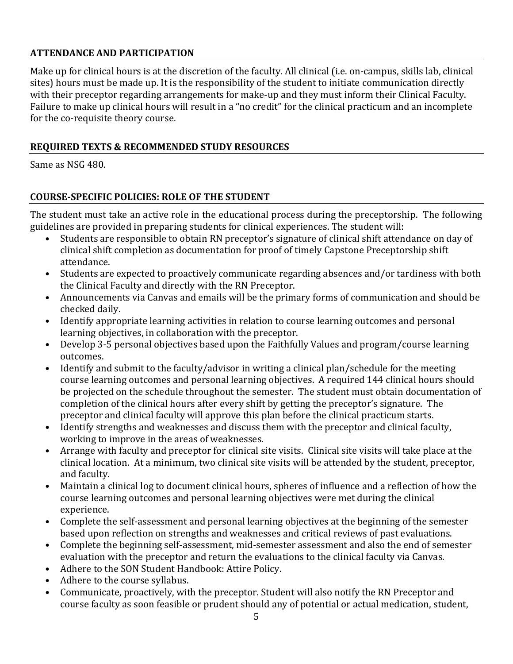# **ATTENDANCE AND PARTICIPATION**

Make up for clinical hours is at the discretion of the faculty. All clinical (i.e. on-campus, skills lab, clinical sites) hours must be made up. It is the responsibility of the student to initiate communication directly with their preceptor regarding arrangements for make-up and they must inform their Clinical Faculty. Failure to make up clinical hours will result in a "no credit" for the clinical practicum and an incomplete for the co-requisite theory course.

# **REQUIRED TEXTS & RECOMMENDED STUDY RESOURCES**

Same as NSG 480.

# **COURSE-SPECIFIC POLICIES: ROLE OF THE STUDENT**

The student must take an active role in the educational process during the preceptorship. The following guidelines are provided in preparing students for clinical experiences. The student will:

- Students are responsible to obtain RN preceptor's signature of clinical shift attendance on day of clinical shift completion as documentation for proof of timely Capstone Preceptorship shift attendance.
- Students are expected to proactively communicate regarding absences and/or tardiness with both the Clinical Faculty and directly with the RN Preceptor.
- Announcements via Canvas and emails will be the primary forms of communication and should be checked daily.
- Identify appropriate learning activities in relation to course learning outcomes and personal learning objectives, in collaboration with the preceptor.
- Develop 3-5 personal objectives based upon the Faithfully Values and program/course learning outcomes.
- Identify and submit to the faculty/advisor in writing a clinical plan/schedule for the meeting course learning outcomes and personal learning objectives. A required 144 clinical hours should be projected on the schedule throughout the semester. The student must obtain documentation of completion of the clinical hours after every shift by getting the preceptor's signature. The preceptor and clinical faculty will approve this plan before the clinical practicum starts.
- Identify strengths and weaknesses and discuss them with the preceptor and clinical faculty, working to improve in the areas of weaknesses.
- Arrange with faculty and preceptor for clinical site visits. Clinical site visits will take place at the clinical location. At a minimum, two clinical site visits will be attended by the student, preceptor, and faculty.
- Maintain a clinical log to document clinical hours, spheres of influence and a reflection of how the course learning outcomes and personal learning objectives were met during the clinical experience.
- Complete the self-assessment and personal learning objectives at the beginning of the semester based upon reflection on strengths and weaknesses and critical reviews of past evaluations.
- Complete the beginning self-assessment, mid-semester assessment and also the end of semester evaluation with the preceptor and return the evaluations to the clinical faculty via Canvas.
- Adhere to the SON Student Handbook: Attire Policy.
- Adhere to the course syllabus.
- Communicate, proactively, with the preceptor. Student will also notify the RN Preceptor and course faculty as soon feasible or prudent should any of potential or actual medication, student,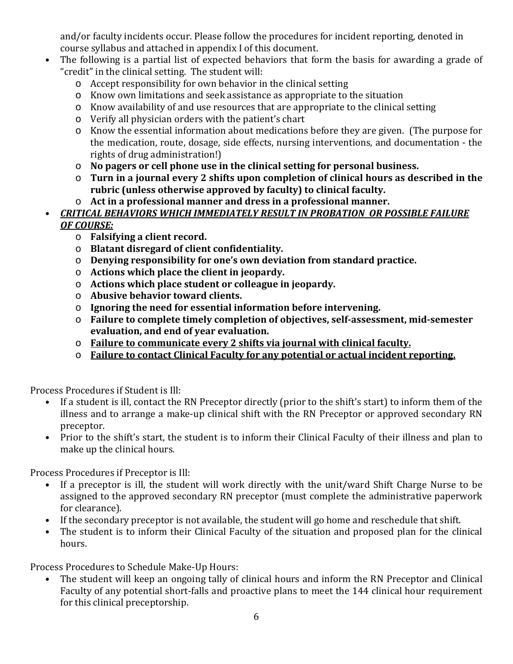and/or faculty incidents occur. Please follow the procedures for incident reporting, denoted in course syllabus and attached in appendix I of this document.

- The following is a partial list of expected behaviors that form the basis for awarding a grade of "credit" in the clinical setting. The student will:
	- o Accept responsibility for own behavior in the clinical setting
	- o Know own limitations and seek assistance as appropriate to the situation
	- o Know availability of and use resources that are appropriate to the clinical setting
	- o Verify all physician orders with the patient's chart
	- o Know the essential information about medications before they are given. (The purpose for the medication, route, dosage, side effects, nursing interventions, and documentation - the rights of drug administration!)
	- o **No pagers or cell phone use in the clinical setting for personal business.**
	- o **Turn in a journal every 2 shifts upon completion of clinical hours as described in the rubric (unless otherwise approved by faculty) to clinical faculty.**
	- o **Act in a professional manner and dress in a professional manner.**
- *CRITICAL BEHAVIORS WHICH IMMEDIATELY RESULT IN PROBATION OR POSSIBLE FAILURE OF COURSE:*
	- o **Falsifying a client record.**
	- o **Blatant disregard of client confidentiality.**
	- o **Denying responsibility for one's own deviation from standard practice.**
	- o **Actions which place the client in jeopardy.**
	- o **Actions which place student or colleague in jeopardy.**
	- o **Abusive behavior toward clients.**
	- o **Ignoring the need for essential information before intervening.**
	- o **Failure to complete timely completion of objectives, self-assessment, mid-semester evaluation, and end of year evaluation.**
	- o **Failure to communicate every 2 shifts via journal with clinical faculty.**
	- o **Failure to contact Clinical Faculty for any potential or actual incident reporting.**

Process Procedures if Student is Ill:<br>• If a student is ill, contact the

- If a student is ill, contact the RN Preceptor directly (prior to the shift's start) to inform them of the illness and to arrange a make-up clinical shift with the RN Preceptor or approved secondary RN preceptor.
- Prior to the shift's start, the student is to inform their Clinical Faculty of their illness and plan to make up the clinical hours.

Process Procedures if Preceptor is Ill:

- If a preceptor is ill, the student will work directly with the unit/ward Shift Charge Nurse to be assigned to the approved secondary RN preceptor (must complete the administrative paperwork for clearance).
- If the secondary preceptor is not available, the student will go home and reschedule that shift.
- The student is to inform their Clinical Faculty of the situation and proposed plan for the clinical hours.

Process Procedures to Schedule Make-Up Hours:<br>• The student will keep an ongoing tally of

• The student will keep an ongoing tally of clinical hours and inform the RN Preceptor and Clinical Faculty of any potential short-falls and proactive plans to meet the 144 clinical hour requirement for this clinical preceptorship.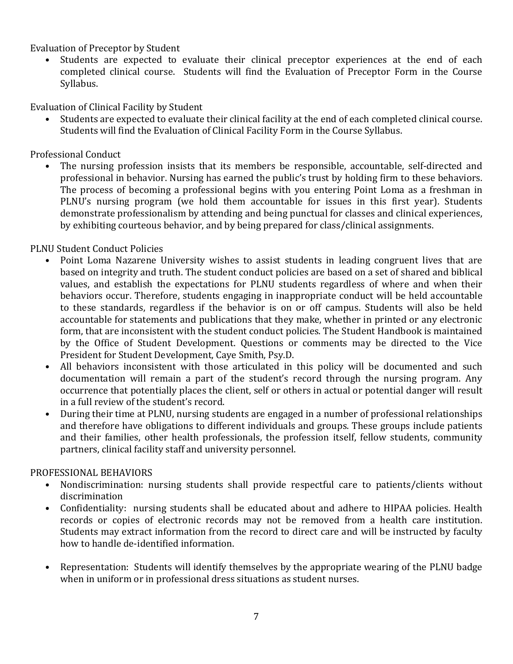Evaluation of Preceptor by Student

Students are expected to evaluate their clinical preceptor experiences at the end of each completed clinical course. Students will find the Evaluation of Preceptor Form in the Course Syllabus.

Evaluation of Clinical Facility by Student

• Students are expected to evaluate their clinical facility at the end of each completed clinical course. Students will find the Evaluation of Clinical Facility Form in the Course Syllabus.

Professional Conduct

The nursing profession insists that its members be responsible, accountable, self-directed and professional in behavior. Nursing has earned the public's trust by holding firm to these behaviors. The process of becoming a professional begins with you entering Point Loma as a freshman in PLNU's nursing program (we hold them accountable for issues in this first year). Students demonstrate professionalism by attending and being punctual for classes and clinical experiences, by exhibiting courteous behavior, and by being prepared for class/clinical assignments.

# PLNU Student Conduct Policies

- Point Loma Nazarene University wishes to assist students in leading congruent lives that are based on integrity and truth. The student conduct policies are based on a set of shared and biblical values, and establish the expectations for PLNU students regardless of where and when their behaviors occur. Therefore, students engaging in inappropriate conduct will be held accountable to these standards, regardless if the behavior is on or off campus. Students will also be held accountable for statements and publications that they make, whether in printed or any electronic form, that are inconsistent with the student conduct policies. The Student Handbook is maintained by the Office of Student Development. Questions or comments may be directed to the Vice President for Student Development, Caye Smith, Psy.D.
- All behaviors inconsistent with those articulated in this policy will be documented and such documentation will remain a part of the student's record through the nursing program. Any occurrence that potentially places the client, self or others in actual or potential danger will result in a full review of the student's record.
- During their time at PLNU, nursing students are engaged in a number of professional relationships and therefore have obligations to different individuals and groups. These groups include patients and their families, other health professionals, the profession itself, fellow students, community partners, clinical facility staff and university personnel.

# PROFESSIONAL BEHAVIORS

- Nondiscrimination: nursing students shall provide respectful care to patients/clients without discrimination
- Confidentiality: nursing students shall be educated about and adhere to HIPAA policies. Health records or copies of electronic records may not be removed from a health care institution. Students may extract information from the record to direct care and will be instructed by faculty how to handle de-identified information.
- Representation: Students will identify themselves by the appropriate wearing of the PLNU badge when in uniform or in professional dress situations as student nurses.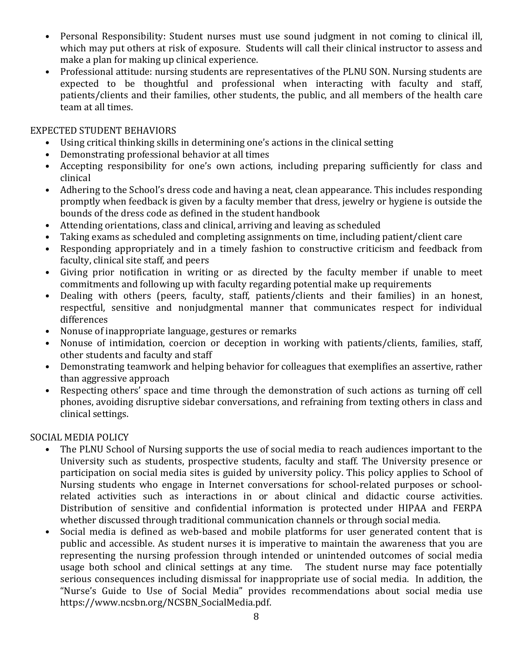- Personal Responsibility: Student nurses must use sound judgment in not coming to clinical ill, which may put others at risk of exposure. Students will call their clinical instructor to assess and make a plan for making up clinical experience.
- Professional attitude: nursing students are representatives of the PLNU SON. Nursing students are expected to be thoughtful and professional when interacting with faculty and staff, patients/clients and their families, other students, the public, and all members of the health care team at all times.

#### EXPECTED STUDENT BEHAVIORS

- Using critical thinking skills in determining one's actions in the clinical setting
- Demonstrating professional behavior at all times
- Accepting responsibility for one's own actions, including preparing sufficiently for class and clinical
- Adhering to the School's dress code and having a neat, clean appearance. This includes responding promptly when feedback is given by a faculty member that dress, jewelry or hygiene is outside the bounds of the dress code as defined in the student handbook
- Attending orientations, class and clinical, arriving and leaving as scheduled
- Taking exams as scheduled and completing assignments on time, including patient/client care
- Responding appropriately and in a timely fashion to constructive criticism and feedback from faculty, clinical site staff, and peers
- Giving prior notification in writing or as directed by the faculty member if unable to meet commitments and following up with faculty regarding potential make up requirements
- Dealing with others (peers, faculty, staff, patients/clients and their families) in an honest, respectful, sensitive and nonjudgmental manner that communicates respect for individual differences
- Nonuse of inappropriate language, gestures or remarks
- Nonuse of intimidation, coercion or deception in working with patients/clients, families, staff, other students and faculty and staff
- Demonstrating teamwork and helping behavior for colleagues that exemplifies an assertive, rather than aggressive approach
- Respecting others' space and time through the demonstration of such actions as turning off cell phones, avoiding disruptive sidebar conversations, and refraining from texting others in class and clinical settings.

# SOCIAL MEDIA POLICY

- The PLNU School of Nursing supports the use of social media to reach audiences important to the University such as students, prospective students, faculty and staff. The University presence or participation on social media sites is guided by university policy. This policy applies to School of Nursing students who engage in Internet conversations for school-related purposes or schoolrelated activities such as interactions in or about clinical and didactic course activities. Distribution of sensitive and confidential information is protected under HIPAA and FERPA whether discussed through traditional communication channels or through social media.
- Social media is defined as web-based and mobile platforms for user generated content that is public and accessible. As student nurses it is imperative to maintain the awareness that you are representing the nursing profession through intended or unintended outcomes of social media usage both school and clinical settings at any time. The student nurse may face potentially serious consequences including dismissal for inappropriate use of social media. In addition, the "Nurse's Guide to Use of Social Media" provides recommendations about social media use https://www.ncsbn.org/NCSBN\_SocialMedia.pdf.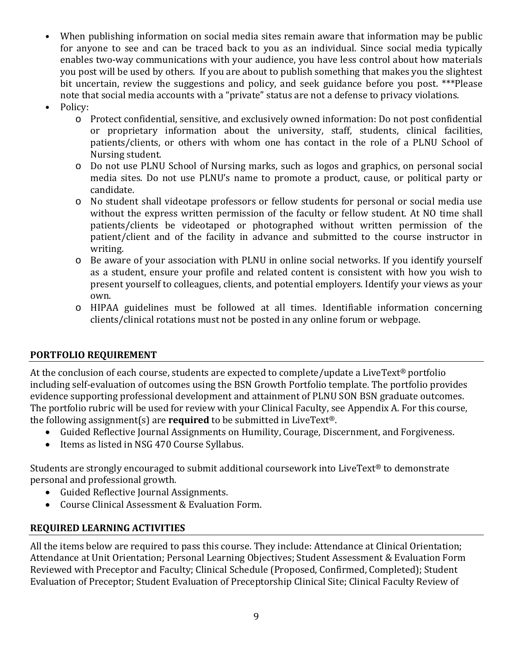- When publishing information on social media sites remain aware that information may be public for anyone to see and can be traced back to you as an individual. Since social media typically enables two-way communications with your audience, you have less control about how materials you post will be used by others. If you are about to publish something that makes you the slightest bit uncertain, review the suggestions and policy, and seek guidance before you post. \*\*\*Please note that social media accounts with a "private" status are not a defense to privacy violations.
- Policy:
	- o Protect confidential, sensitive, and exclusively owned information: Do not post confidential or proprietary information about the university, staff, students, clinical facilities, patients/clients, or others with whom one has contact in the role of a PLNU School of Nursing student.
	- o Do not use PLNU School of Nursing marks, such as logos and graphics, on personal social media sites. Do not use PLNU's name to promote a product, cause, or political party or candidate.
	- o No student shall videotape professors or fellow students for personal or social media use without the express written permission of the faculty or fellow student. At NO time shall patients/clients be videotaped or photographed without written permission of the patient/client and of the facility in advance and submitted to the course instructor in writing.
	- o Be aware of your association with PLNU in online social networks. If you identify yourself as a student, ensure your profile and related content is consistent with how you wish to present yourself to colleagues, clients, and potential employers. Identify your views as your own.
	- o HIPAA guidelines must be followed at all times. Identifiable information concerning clients/clinical rotations must not be posted in any online forum or webpage.

# **PORTFOLIO REQUIREMENT**

At the conclusion of each course, students are expected to complete/update a LiveText® portfolio including self-evaluation of outcomes using the BSN Growth Portfolio template. The portfolio provides evidence supporting professional development and attainment of PLNU SON BSN graduate outcomes. The portfolio rubric will be used for review with your Clinical Faculty, see Appendix A. For this course, the following assignment(s) are **required** to be submitted in LiveText®.

- Guided Reflective Journal Assignments on Humility, Courage, Discernment, and Forgiveness.
- Items as listed in NSG 470 Course Syllabus.

Students are strongly encouraged to submit additional coursework into LiveText® to demonstrate personal and professional growth.

- Guided Reflective Journal Assignments.
- Course Clinical Assessment & Evaluation Form.

# **REQUIRED LEARNING ACTIVITIES**

All the items below are required to pass this course. They include: Attendance at Clinical Orientation; Attendance at Unit Orientation; Personal Learning Objectives; Student Assessment & Evaluation Form Reviewed with Preceptor and Faculty; Clinical Schedule (Proposed, Confirmed, Completed); Student Evaluation of Preceptor; Student Evaluation of Preceptorship Clinical Site; Clinical Faculty Review of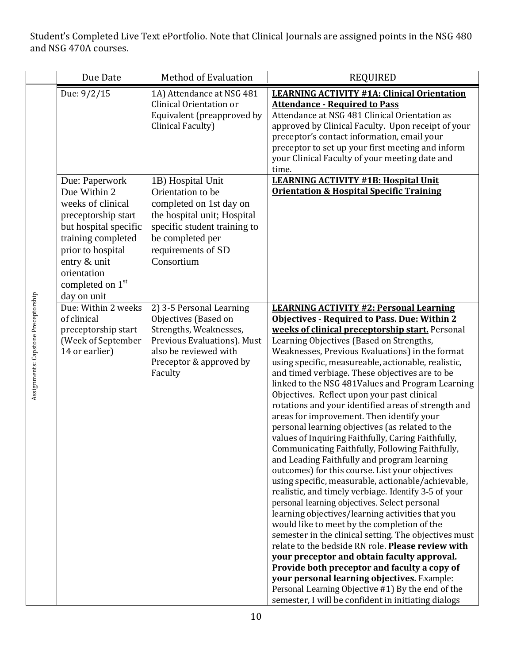Student's Completed Live Text ePortfolio. Note that Clinical Journals are assigned points in the NSG 480 and NSG 470A courses.

|                                     | Due Date                                                                                                                                                                                                                     | <b>Method of Evaluation</b>                                                                                                                                                              | <b>REQUIRED</b>                                                                                                                                                                                                                                                                                                                                                                                                                                                                                                                                                                                                                                                                                                                                                                                                                                                                                                                                                                                                                                                                                                                                                                                                                                                                                                                                                                                                                                                                 |
|-------------------------------------|------------------------------------------------------------------------------------------------------------------------------------------------------------------------------------------------------------------------------|------------------------------------------------------------------------------------------------------------------------------------------------------------------------------------------|---------------------------------------------------------------------------------------------------------------------------------------------------------------------------------------------------------------------------------------------------------------------------------------------------------------------------------------------------------------------------------------------------------------------------------------------------------------------------------------------------------------------------------------------------------------------------------------------------------------------------------------------------------------------------------------------------------------------------------------------------------------------------------------------------------------------------------------------------------------------------------------------------------------------------------------------------------------------------------------------------------------------------------------------------------------------------------------------------------------------------------------------------------------------------------------------------------------------------------------------------------------------------------------------------------------------------------------------------------------------------------------------------------------------------------------------------------------------------------|
|                                     | Due: 9/2/15                                                                                                                                                                                                                  | 1A) Attendance at NSG 481<br>Clinical Orientation or<br>Equivalent (preapproved by<br>Clinical Faculty)                                                                                  | <b>LEARNING ACTIVITY #1A: Clinical Orientation</b><br><b>Attendance - Required to Pass</b><br>Attendance at NSG 481 Clinical Orientation as<br>approved by Clinical Faculty. Upon receipt of your<br>preceptor's contact information, email your<br>preceptor to set up your first meeting and inform<br>your Clinical Faculty of your meeting date and<br>time.                                                                                                                                                                                                                                                                                                                                                                                                                                                                                                                                                                                                                                                                                                                                                                                                                                                                                                                                                                                                                                                                                                                |
|                                     | Due: Paperwork<br>Due Within 2<br>weeks of clinical<br>preceptorship start<br>but hospital specific<br>training completed<br>prior to hospital<br>entry & unit<br>orientation<br>completed on 1 <sup>st</sup><br>day on unit | 1B) Hospital Unit<br>Orientation to be<br>completed on 1st day on<br>the hospital unit; Hospital<br>specific student training to<br>be completed per<br>requirements of SD<br>Consortium | <b>LEARNING ACTIVITY #1B: Hospital Unit</b><br><b>Orientation &amp; Hospital Specific Training</b>                                                                                                                                                                                                                                                                                                                                                                                                                                                                                                                                                                                                                                                                                                                                                                                                                                                                                                                                                                                                                                                                                                                                                                                                                                                                                                                                                                              |
| Assignments: Capstone Preceptorship | Due: Within 2 weeks<br>of clinical<br>preceptorship start<br>(Week of September<br>14 or earlier)                                                                                                                            | 2) 3-5 Personal Learning<br>Objectives (Based on<br>Strengths, Weaknesses,<br>Previous Evaluations). Must<br>also be reviewed with<br>Preceptor & approved by<br>Faculty                 | <b>LEARNING ACTIVITY #2: Personal Learning</b><br><b>Objectives - Required to Pass. Due: Within 2</b><br>weeks of clinical preceptorship start. Personal<br>Learning Objectives (Based on Strengths,<br>Weaknesses, Previous Evaluations) in the format<br>using specific, measureable, actionable, realistic,<br>and timed verbiage. These objectives are to be<br>linked to the NSG 481Values and Program Learning<br>Objectives. Reflect upon your past clinical<br>rotations and your identified areas of strength and<br>areas for improvement. Then identify your<br>personal learning objectives (as related to the<br>values of Inquiring Faithfully, Caring Faithfully,<br>Communicating Faithfully, Following Faithfully,<br>and Leading Faithfully and program learning<br>outcomes) for this course. List your objectives<br>using specific, measurable, actionable/achievable,<br>realistic, and timely verbiage. Identify 3-5 of your<br>personal learning objectives. Select personal<br>learning objectives/learning activities that you<br>would like to meet by the completion of the<br>semester in the clinical setting. The objectives must<br>relate to the bedside RN role. Please review with<br>your preceptor and obtain faculty approval.<br>Provide both preceptor and faculty a copy of<br>your personal learning objectives. Example:<br>Personal Learning Objective #1) By the end of the<br>semester, I will be confident in initiating dialogs |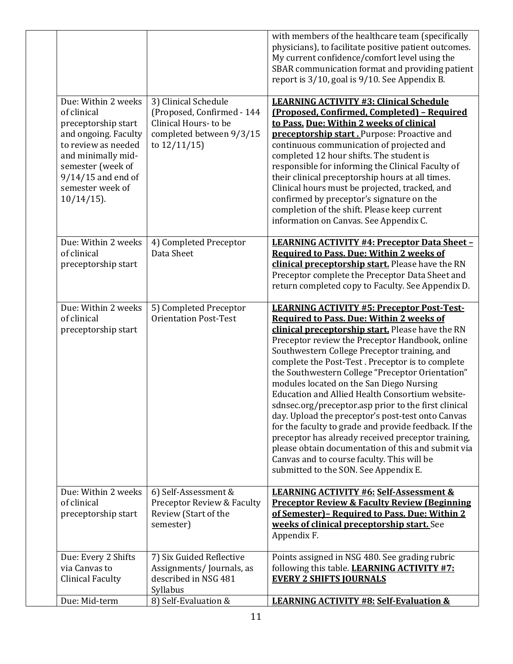|                                                                                                                                                                                                                  |                                                                                                                        | with members of the healthcare team (specifically<br>physicians), to facilitate positive patient outcomes.<br>My current confidence/comfort level using the<br>SBAR communication format and providing patient<br>report is 3/10, goal is 9/10. See Appendix B.                                                                                                                                                                                                                                                                                                                                                                                                                                                                                                                                                                             |
|------------------------------------------------------------------------------------------------------------------------------------------------------------------------------------------------------------------|------------------------------------------------------------------------------------------------------------------------|---------------------------------------------------------------------------------------------------------------------------------------------------------------------------------------------------------------------------------------------------------------------------------------------------------------------------------------------------------------------------------------------------------------------------------------------------------------------------------------------------------------------------------------------------------------------------------------------------------------------------------------------------------------------------------------------------------------------------------------------------------------------------------------------------------------------------------------------|
| Due: Within 2 weeks<br>of clinical<br>preceptorship start<br>and ongoing. Faculty<br>to review as needed<br>and minimally mid-<br>semester (week of<br>$9/14/15$ and end of<br>semester week of<br>$10/14/15$ ). | 3) Clinical Schedule<br>(Proposed, Confirmed - 144<br>Clinical Hours-to be<br>completed between 9/3/15<br>to 12/11/15) | <b>LEARNING ACTIVITY #3: Clinical Schedule</b><br>(Proposed, Confirmed, Completed) - Required<br>to Pass. Due: Within 2 weeks of clinical<br>preceptorship start. Purpose: Proactive and<br>continuous communication of projected and<br>completed 12 hour shifts. The student is<br>responsible for informing the Clinical Faculty of<br>their clinical preceptorship hours at all times.<br>Clinical hours must be projected, tracked, and<br>confirmed by preceptor's signature on the<br>completion of the shift. Please keep current<br>information on Canvas. See Appendix C.                                                                                                                                                                                                                                                         |
| Due: Within 2 weeks<br>of clinical<br>preceptorship start                                                                                                                                                        | 4) Completed Preceptor<br>Data Sheet                                                                                   | <b>LEARNING ACTIVITY #4: Preceptor Data Sheet -</b><br><b>Required to Pass. Due: Within 2 weeks of</b><br>clinical preceptorship start. Please have the RN<br>Preceptor complete the Preceptor Data Sheet and<br>return completed copy to Faculty. See Appendix D.                                                                                                                                                                                                                                                                                                                                                                                                                                                                                                                                                                          |
| Due: Within 2 weeks<br>of clinical<br>preceptorship start                                                                                                                                                        | 5) Completed Preceptor<br><b>Orientation Post-Test</b>                                                                 | <b>LEARNING ACTIVITY #5: Preceptor Post-Test-</b><br><b>Required to Pass. Due: Within 2 weeks of</b><br>clinical preceptorship start. Please have the RN<br>Preceptor review the Preceptor Handbook, online<br>Southwestern College Preceptor training, and<br>complete the Post-Test. Preceptor is to complete<br>the Southwestern College "Preceptor Orientation"<br>modules located on the San Diego Nursing<br>Education and Allied Health Consortium website-<br>sdnsec.org/preceptor.asp prior to the first clinical<br>day. Upload the preceptor's post-test onto Canvas<br>for the faculty to grade and provide feedback. If the<br>preceptor has already received preceptor training,<br>please obtain documentation of this and submit via<br>Canvas and to course faculty. This will be<br>submitted to the SON. See Appendix E. |
| Due: Within 2 weeks<br>of clinical<br>preceptorship start                                                                                                                                                        | 6) Self-Assessment &<br>Preceptor Review & Faculty<br>Review (Start of the<br>semester)                                | <b>LEARNING ACTIVITY #6: Self-Assessment &amp;</b><br><b>Preceptor Review &amp; Faculty Review (Beginning</b><br>of Semester) - Required to Pass. Due: Within 2<br>weeks of clinical preceptorship start. See<br>Appendix F.                                                                                                                                                                                                                                                                                                                                                                                                                                                                                                                                                                                                                |
| Due: Every 2 Shifts<br>via Canvas to<br><b>Clinical Faculty</b>                                                                                                                                                  | 7) Six Guided Reflective<br>Assignments/Journals, as<br>described in NSG 481<br>Syllabus                               | Points assigned in NSG 480. See grading rubric<br>following this table. LEARNING ACTIVITY #7:<br><b>EVERY 2 SHIFTS JOURNALS</b>                                                                                                                                                                                                                                                                                                                                                                                                                                                                                                                                                                                                                                                                                                             |
| Due: Mid-term                                                                                                                                                                                                    | 8) Self-Evaluation &                                                                                                   | <b>LEARNING ACTIVITY #8: Self-Evaluation &amp;</b>                                                                                                                                                                                                                                                                                                                                                                                                                                                                                                                                                                                                                                                                                                                                                                                          |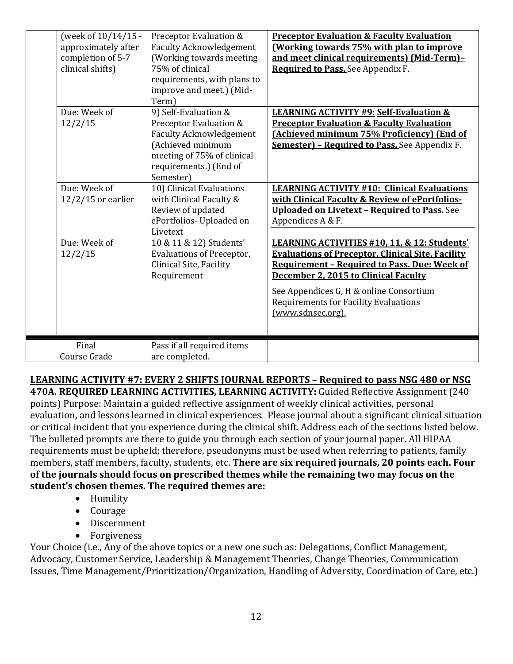| (week of 10/14/15 -<br>approximately after<br>completion of 5-7<br>clinical shifts)<br>Due: Week of<br>12/2/15<br>Due: Week of<br>$12/2/15$ or earlier<br>Due: Week of<br>12/2/15 | Preceptor Evaluation &<br><b>Faculty Acknowledgement</b><br>(Working towards meeting<br>75% of clinical<br>requirements, with plans to<br>improve and meet.) (Mid-<br>Term)<br>9) Self-Evaluation &<br>Preceptor Evaluation &<br><b>Faculty Acknowledgement</b><br>(Achieved minimum<br>meeting of 75% of clinical<br>requirements.) (End of<br>Semester)<br>10) Clinical Evaluations<br>with Clinical Faculty &<br>Review of updated<br>ePortfolios- Uploaded on<br>Livetext<br>10 & 11 & 12) Students'<br><b>Evaluations of Preceptor,</b><br>Clinical Site, Facility<br>Requirement | <b>Preceptor Evaluation &amp; Faculty Evaluation</b><br><b>(Working towards 75% with plan to improve</b><br>and meet clinical requirements) (Mid-Term)-<br>Required to Pass. See Appendix F.<br><b>LEARNING ACTIVITY #9: Self-Evaluation &amp;</b><br><b>Preceptor Evaluation &amp; Faculty Evaluation</b><br>(Achieved minimum 75% Proficiency) (End of<br><b>Semester) - Required to Pass. See Appendix F.</b><br><b>LEARNING ACTIVITY #10: Clinical Evaluations</b><br>with Clinical Faculty & Review of ePortfolios-<br><b>Uploaded on Livetext - Required to Pass.</b> See<br>Appendices A & F.<br>LEARNING ACTIVITIES #10, 11, & 12: Students'<br><b>Evaluations of Preceptor, Clinical Site, Facility</b><br><b>Requirement - Required to Pass. Due: Week of</b><br>December 2, 2015 to Clinical Faculty<br>See Appendices G, H & online Consortium<br><b>Requirements for Facility Evaluations</b> |
|-----------------------------------------------------------------------------------------------------------------------------------------------------------------------------------|----------------------------------------------------------------------------------------------------------------------------------------------------------------------------------------------------------------------------------------------------------------------------------------------------------------------------------------------------------------------------------------------------------------------------------------------------------------------------------------------------------------------------------------------------------------------------------------|------------------------------------------------------------------------------------------------------------------------------------------------------------------------------------------------------------------------------------------------------------------------------------------------------------------------------------------------------------------------------------------------------------------------------------------------------------------------------------------------------------------------------------------------------------------------------------------------------------------------------------------------------------------------------------------------------------------------------------------------------------------------------------------------------------------------------------------------------------------------------------------------------------|
| Final                                                                                                                                                                             | Pass if all required items                                                                                                                                                                                                                                                                                                                                                                                                                                                                                                                                                             | (www.sdnsec.org).                                                                                                                                                                                                                                                                                                                                                                                                                                                                                                                                                                                                                                                                                                                                                                                                                                                                                          |
| Course Grade                                                                                                                                                                      | are completed.                                                                                                                                                                                                                                                                                                                                                                                                                                                                                                                                                                         |                                                                                                                                                                                                                                                                                                                                                                                                                                                                                                                                                                                                                                                                                                                                                                                                                                                                                                            |

**LEARNING ACTIVITY #7: EVERY 2 SHIFTS JOURNAL REPORTS – Required to pass NSG 480 or NSG 470A. REQUIRED LEARNING ACTIVITIES, LEARNING ACTIVITY:** Guided Reflective Assignment (240 points) Purpose: Maintain a guided reflective assignment of weekly clinical activities, personal evaluation, and lessons learned in clinical experiences. Please journal about a significant clinical situation or critical incident that you experience during the clinical shift. Address each of the sections listed below. The bulleted prompts are there to guide you through each section of your journal paper. All HIPAA requirements must be upheld; therefore, pseudonyms must be used when referring to patients, family members, staff members, faculty, students, etc. **There are six required journals, 20 points each. Four of the journals should focus on prescribed themes while the remaining two may focus on the student's chosen themes. The required themes are:** 

- Humility
- Courage
- Discernment
- Forgiveness

Your Choice (i.e., Any of the above topics or a new one such as: Delegations, Conflict Management, Advocacy, Customer Service, Leadership & Management Theories, Change Theories, Communication Issues, Time Management/Prioritization/Organization, Handling of Adversity, Coordination of Care, etc.)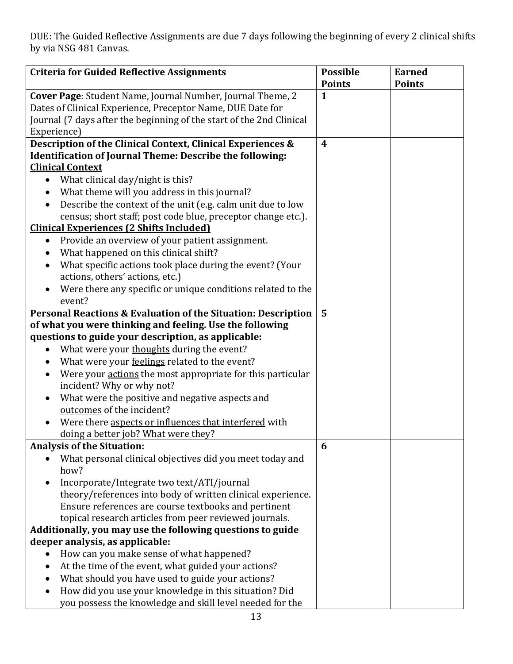DUE: The Guided Reflective Assignments are due 7 days following the beginning of every 2 clinical shifts by via NSG 481 Canvas.

| <b>Criteria for Guided Reflective Assignments</b>                                                    | <b>Possible</b>  | <b>Earned</b> |
|------------------------------------------------------------------------------------------------------|------------------|---------------|
|                                                                                                      | <b>Points</b>    | <b>Points</b> |
| Cover Page: Student Name, Journal Number, Journal Theme, 2                                           | $\mathbf{1}$     |               |
| Dates of Clinical Experience, Preceptor Name, DUE Date for                                           |                  |               |
| Journal (7 days after the beginning of the start of the 2nd Clinical                                 |                  |               |
| Experience)                                                                                          |                  |               |
| Description of the Clinical Context, Clinical Experiences &                                          | $\boldsymbol{4}$ |               |
| <b>Identification of Journal Theme: Describe the following:</b>                                      |                  |               |
| <b>Clinical Context</b>                                                                              |                  |               |
| What clinical day/night is this?<br>$\bullet$                                                        |                  |               |
| What theme will you address in this journal?                                                         |                  |               |
| Describe the context of the unit (e.g. calm unit due to low<br>$\bullet$                             |                  |               |
| census; short staff; post code blue, preceptor change etc.).                                         |                  |               |
| <b>Clinical Experiences (2 Shifts Included)</b>                                                      |                  |               |
| Provide an overview of your patient assignment.<br>$\bullet$                                         |                  |               |
| What happened on this clinical shift?                                                                |                  |               |
| What specific actions took place during the event? (Your<br>$\bullet$                                |                  |               |
| actions, others' actions, etc.)                                                                      |                  |               |
| Were there any specific or unique conditions related to the<br>$\bullet$                             |                  |               |
| event?                                                                                               |                  |               |
| Personal Reactions & Evaluation of the Situation: Description                                        | $5\phantom{1}$   |               |
| of what you were thinking and feeling. Use the following                                             |                  |               |
| questions to guide your description, as applicable:                                                  |                  |               |
| What were your thoughts during the event?<br>$\bullet$                                               |                  |               |
| What were your feelings related to the event?<br>$\bullet$                                           |                  |               |
| Were your actions the most appropriate for this particular<br>$\bullet$<br>incident? Why or why not? |                  |               |
| What were the positive and negative aspects and<br>$\bullet$                                         |                  |               |
| outcomes of the incident?                                                                            |                  |               |
| Were there aspects or influences that interfered with                                                |                  |               |
| doing a better job? What were they?                                                                  |                  |               |
| <b>Analysis of the Situation:</b>                                                                    | 6                |               |
| What personal clinical objectives did you meet today and<br>how?                                     |                  |               |
| Incorporate/Integrate two text/ATI/journal                                                           |                  |               |
| theory/references into body of written clinical experience.                                          |                  |               |
| Ensure references are course textbooks and pertinent                                                 |                  |               |
| topical research articles from peer reviewed journals.                                               |                  |               |
| Additionally, you may use the following questions to guide                                           |                  |               |
| deeper analysis, as applicable:                                                                      |                  |               |
| How can you make sense of what happened?                                                             |                  |               |
| At the time of the event, what guided your actions?<br>$\bullet$                                     |                  |               |
| What should you have used to guide your actions?                                                     |                  |               |
| How did you use your knowledge in this situation? Did                                                |                  |               |
| you possess the knowledge and skill level needed for the                                             |                  |               |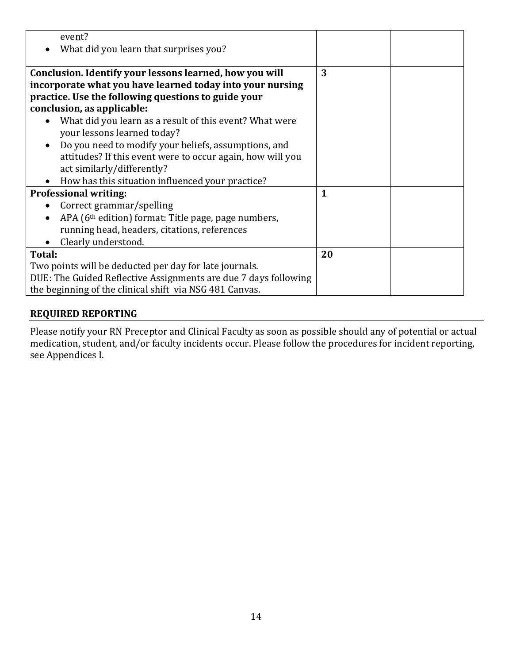| event?                                                                       |              |  |
|------------------------------------------------------------------------------|--------------|--|
| What did you learn that surprises you?                                       |              |  |
|                                                                              |              |  |
| Conclusion. Identify your lessons learned, how you will                      | 3            |  |
| incorporate what you have learned today into your nursing                    |              |  |
| practice. Use the following questions to guide your                          |              |  |
| conclusion, as applicable:                                                   |              |  |
| What did you learn as a result of this event? What were<br>$\bullet$         |              |  |
| your lessons learned today?                                                  |              |  |
| Do you need to modify your beliefs, assumptions, and<br>$\bullet$            |              |  |
| attitudes? If this event were to occur again, how will you                   |              |  |
| act similarly/differently?                                                   |              |  |
| How has this situation influenced your practice?                             |              |  |
| <b>Professional writing:</b>                                                 | $\mathbf{1}$ |  |
| Correct grammar/spelling<br>$\bullet$                                        |              |  |
| APA (6 <sup>th</sup> edition) format: Title page, page numbers,<br>$\bullet$ |              |  |
| running head, headers, citations, references                                 |              |  |
| Clearly understood.                                                          |              |  |
| Total:                                                                       | 20           |  |
| Two points will be deducted per day for late journals.                       |              |  |
| DUE: The Guided Reflective Assignments are due 7 days following              |              |  |
| the beginning of the clinical shift via NSG 481 Canvas.                      |              |  |

#### **REQUIRED REPORTING**

Please notify your RN Preceptor and Clinical Faculty as soon as possible should any of potential or actual medication, student, and/or faculty incidents occur. Please follow the procedures for incident reporting, see Appendices I.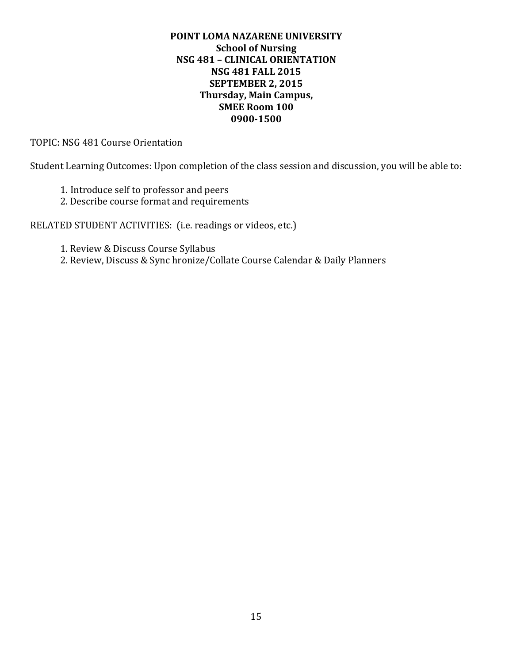#### **POINT LOMA NAZARENE UNIVERSITY School of Nursing NSG 481 – CLINICAL ORIENTATION NSG 481 FALL 2015 SEPTEMBER 2, 2015 Thursday, Main Campus, SMEE Room 100 0900-1500**

TOPIC: NSG 481 Course Orientation

Student Learning Outcomes: Upon completion of the class session and discussion, you will be able to:

- 1. Introduce self to professor and peers
- 2. Describe course format and requirements

RELATED STUDENT ACTIVITIES: (i.e. readings or videos, etc.)

- 1. Review & Discuss Course Syllabus
- 2. Review, Discuss & Sync hronize/Collate Course Calendar & Daily Planners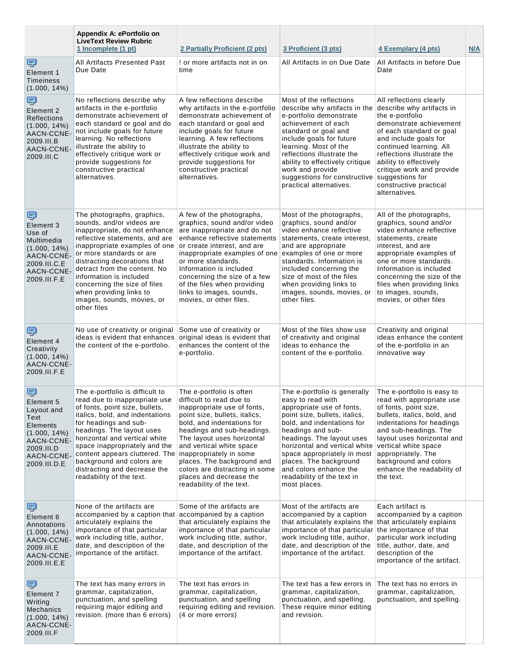|                                                                                                                              | Appendix A: ePortfolio on<br><b>LiveText Review Rubric</b><br>1 Incomplete (1 pt)                                                                                                                                                                                                                                                                                                                                | 2 Partially Proficient (2 pts)                                                                                                                                                                                                                                                                                                                                    | 3 Proficient (3 pts)                                                                                                                                                                                                                                                                                                                                              | 4 Exemplary (4 pts)                                                                                                                                                                                                                                                                                                                   | N/A |
|------------------------------------------------------------------------------------------------------------------------------|------------------------------------------------------------------------------------------------------------------------------------------------------------------------------------------------------------------------------------------------------------------------------------------------------------------------------------------------------------------------------------------------------------------|-------------------------------------------------------------------------------------------------------------------------------------------------------------------------------------------------------------------------------------------------------------------------------------------------------------------------------------------------------------------|-------------------------------------------------------------------------------------------------------------------------------------------------------------------------------------------------------------------------------------------------------------------------------------------------------------------------------------------------------------------|---------------------------------------------------------------------------------------------------------------------------------------------------------------------------------------------------------------------------------------------------------------------------------------------------------------------------------------|-----|
| ş<br>Element 1<br><b>Timeiness</b><br>$(1.000, 14\%)$                                                                        | All Artifacts Presented Past<br>Due Date                                                                                                                                                                                                                                                                                                                                                                         | ! or more artifacts not in on<br>time                                                                                                                                                                                                                                                                                                                             | All Artifacts in on Due Date                                                                                                                                                                                                                                                                                                                                      | All Artifacts in before Due<br>Date                                                                                                                                                                                                                                                                                                   |     |
| g<br>Element 2<br><b>Reflections</b><br>$(1.000, 14\%)$<br>AACN-CCNE-<br>2009.III.B<br>AACN-CCNE-<br>2009.III.C              | No reflections describe why<br>artifacts in the e-portfolio<br>demonstrate achievement of<br>each standard or goal and do<br>not include goals for future<br>learning. No reflections<br>illustrate the ability to<br>effectively critique work or<br>provide suggestions for<br>constructive practical<br>alternatives.                                                                                         | A few reflections describe<br>why artifacts in the e-portfolio<br>demonstrate achievement of<br>each standard or goal and<br>include goals for future<br>learning. A few reflections<br>illustrate the ability to<br>effectively critique work and<br>provide suggestions for<br>constructive practical<br>alternatives.                                          | Most of the reflections<br>describe why artifacts in the<br>e-portfolio demonstrate<br>achievement of each<br>standard or goal and<br>include goals for future<br>learning. Most of the<br>reflections illustrate the<br>ability to effectively critique<br>work and provide<br>suggestions for constructive<br>practical alternatives.                           | All reflections clearly<br>describe why artifacts in<br>the e-portfolio<br>demonstrate achievement<br>of each standard or goal<br>and include goals for<br>continued learning. All<br>reflections illustrate the<br>ability to effectively<br>critique work and provide<br>suggestions for<br>constructive practical<br>alternatives. |     |
| Ş<br>Element 3<br>Use of<br>Multimedia<br>$(1.000, 14\%)$<br>AACN-CCNE-<br>2009.III.C.E<br>AACN-CCNE<br>2009.III.F.E         | The photographs, graphics,<br>sounds, and/or videos are<br>inappropriate, do not enhance<br>reflective statements, and are<br>inappropriate examples of one<br>or more standards or are<br>distracting decorations that<br>detract from the content. No<br>information is included<br>concerning the size of files<br>when providing links to<br>images, sounds, movies, or<br>other files                       | A few of the photographs,<br>graphics, sound and/or video<br>are inappropriate and do not<br>enhance reflective statements<br>or create interest, and are<br>inappropriate examples of one<br>or more standards.<br>Information is included<br>concerning the size of a few<br>of the files when providing<br>links to images, sounds,<br>movies, or other files. | Most of the photographs,<br>graphics, sound and/or<br>video enhance reflective<br>statements, create interest,<br>and are appropriate<br>examples of one or more<br>standards. Information is<br>included concerning the<br>size of most of the files<br>when providing links to<br>images, sounds, movies, or<br>other files.                                    | All of the photographs,<br>graphics, sound and/or<br>video enhance reflective<br>statements, create<br>interest, and are<br>appropriate examples of<br>one or more standards.<br>Information is included<br>concerning the size of the<br>files when providing links<br>to images, sounds,<br>movies, or other files                  |     |
| ş<br>Element 4<br>Creativity<br>$(1.000, 14\%)$<br>AACN-CCNE-<br>2009.III.F.E                                                | No use of creativity or original<br>ideas is evident that enhances original ideas is evident that<br>the content of the e-portfolio.                                                                                                                                                                                                                                                                             | Some use of creativity or<br>enhances the content of the<br>e-portfolio.                                                                                                                                                                                                                                                                                          | Most of the files show use<br>of creativity and original<br>ideas to enhance the<br>content of the e-portfolio.                                                                                                                                                                                                                                                   | Creativity and original<br>ideas enhance the content<br>of the e-portfolio in an<br>innovative way                                                                                                                                                                                                                                    |     |
| ş<br>Element 5<br>Layout and<br>Text<br>Elements<br>$(1.000, 14\%)$<br>AACN-CCNE-<br>2009.III.D<br>AACN-CCNE<br>2009.III.D.E | The e-portfolio is difficult to<br>read due to inappropriate use<br>of fonts, point size, bullets,<br>italics, bold, and indentations<br>for headings and sub-<br>headings. The layout uses<br>horizontal and vertical white<br>space inappropriately and the<br>content appears cluttered. The inappropriately in some<br>background and colors are<br>distracting and decrease the<br>readability of the text. | The e-portfolio is often<br>difficult to read due to<br>inappropriate use of fonts,<br>point size, bullets, italics,<br>bold, and indentations for<br>headings and sub-headings.<br>The layout uses horizontal<br>and vertical white space<br>places. The background and<br>colors are distracting in some<br>places and decrease the<br>readability of the text. | The e-portfolio is generally<br>easy to read with<br>appropriate use of fonts,<br>point size, bullets, italics,<br>bold, and indentations for<br>headings and sub-<br>headings. The layout uses<br>horizontal and vertical white<br>space appropriately in most<br>places. The background<br>and colors enhance the<br>readability of the text in<br>most places. | The e-portfolio is easy to<br>read with appropriate use<br>of fonts, point size,<br>bullets, italics, bold, and<br>indentations for headings<br>and sub-headings. The<br>layout uses horizontal and<br>vertical white space<br>appropriately. The<br>background and colors<br>enhance the readability of<br>the text.                 |     |
| Ş<br>Element 6<br>Annotations<br>$(1.000, 14\%)$<br>AACN-CCNE-<br>2009.III.E<br>AACN-CCNE-<br>2009.III.E.E                   | None of the artifacts are<br>accompanied by a caption that accompanied by a caption<br>articulately explains the<br>importance of that particular<br>work including title, author,<br>date, and description of the<br>importance of the artifact.                                                                                                                                                                | Some of the artifacts are<br>that articulately explains the<br>importance of that particular<br>work including title, author,<br>date, and description of the<br>importance of the artifact.                                                                                                                                                                      | Most of the artifacts are<br>accompanied by a caption<br>that articulately explains the<br>importance of that particular the importance of that<br>work including title, author,<br>date, and description of the<br>importance of the artifact.                                                                                                                   | Each artifact is<br>accompanied by a caption<br>that articulately explains<br>particular work including<br>title, author, date, and<br>description of the<br>importance of the artifact.                                                                                                                                              |     |
| ş<br>Element 7<br>Writing<br><b>Mechanics</b><br>$(1.000, 14\%)$<br>AACN-CCNE-<br>2009.III.F                                 | The text has many errors in<br>grammar, capitalization,<br>punctuation, and spelling<br>requiring major editing and<br>revision. (more than 6 errors)                                                                                                                                                                                                                                                            | The text has errors in<br>grammar, capitalization,<br>punctuation, and spelling<br>requiring editing and revision.<br>(4 or more errors)                                                                                                                                                                                                                          | The text has a few errors in<br>grammar, capitalization,<br>punctuation, and spelling.<br>These require minor editing<br>and revision.                                                                                                                                                                                                                            | The text has no errors in<br>grammar, capitalization,<br>punctuation, and spelling.                                                                                                                                                                                                                                                   |     |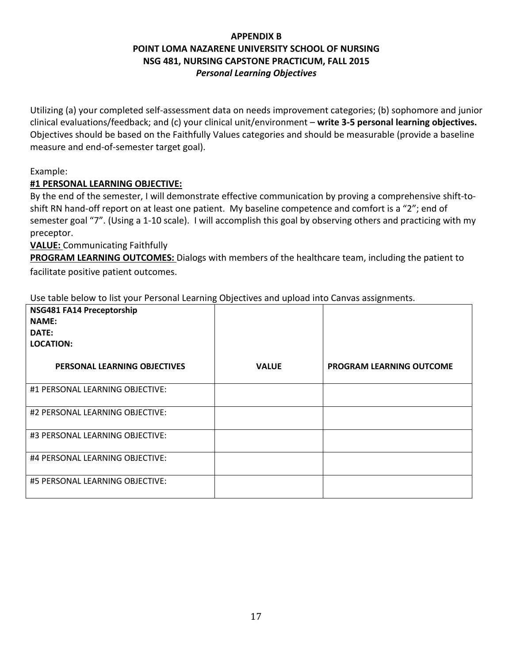# **APPENDIX B POINT LOMA NAZARENE UNIVERSITY SCHOOL OF NURSING NSG 481, NURSING CAPSTONE PRACTICUM, FALL 2015** *Personal Learning Objectives*

Utilizing (a) your completed self-assessment data on needs improvement categories; (b) sophomore and junior clinical evaluations/feedback; and (c) your clinical unit/environment – **write 3-5 personal learning objectives.** Objectives should be based on the Faithfully Values categories and should be measurable (provide a baseline measure and end-of-semester target goal).

#### Example:

#### **#1 PERSONAL LEARNING OBJECTIVE:**

By the end of the semester, I will demonstrate effective communication by proving a comprehensive shift-toshift RN hand-off report on at least one patient. My baseline competence and comfort is a "2"; end of semester goal "7". (Using a 1-10 scale). I will accomplish this goal by observing others and practicing with my preceptor.

#### **VALUE:** Communicating Faithfully

**PROGRAM LEARNING OUTCOMES:** Dialogs with members of the healthcare team, including the patient to facilitate positive patient outcomes.

Use table below to list your Personal Learning Objectives and upload into Canvas assignments.

| NSG481 FA14 Preceptorship<br><b>NAME:</b><br>DATE:<br><b>LOCATION:</b> |              |                                 |
|------------------------------------------------------------------------|--------------|---------------------------------|
| PERSONAL LEARNING OBJECTIVES                                           | <b>VALUE</b> | <b>PROGRAM LEARNING OUTCOME</b> |
| #1 PERSONAL LEARNING OBJECTIVE:                                        |              |                                 |
| #2 PERSONAL LEARNING OBJECTIVE:                                        |              |                                 |
| #3 PERSONAL LEARNING OBJECTIVE:                                        |              |                                 |
| #4 PERSONAL LEARNING OBJECTIVE:                                        |              |                                 |
| #5 PERSONAL LEARNING OBJECTIVE:                                        |              |                                 |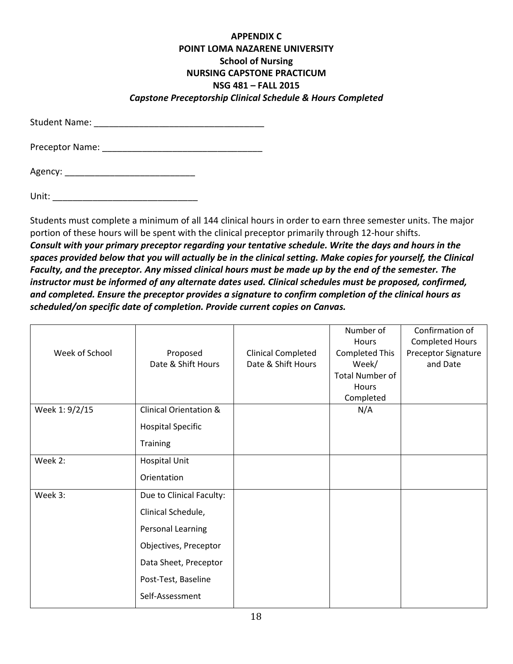#### **APPENDIX C POINT LOMA NAZARENE UNIVERSITY School of Nursing NURSING CAPSTONE PRACTICUM NSG 481 – FALL 2015** *Capstone Preceptorship Clinical Schedule & Hours Completed*

Student Name: \_\_\_\_\_\_\_\_\_\_\_\_\_\_\_\_\_\_\_\_\_\_\_\_\_\_\_\_\_\_\_\_\_\_

Preceptor Name: \_\_\_\_\_\_\_\_\_\_\_\_\_\_\_\_\_\_\_\_\_\_\_\_\_\_\_\_\_\_\_\_

Agency: \_\_\_\_\_\_\_\_\_\_\_\_\_\_\_\_\_\_\_\_\_\_\_\_\_\_

Unit: \_\_\_\_\_\_\_\_\_\_\_\_\_\_\_\_\_\_\_\_\_\_\_\_\_\_\_\_\_

Students must complete a minimum of all 144 clinical hours in order to earn three semester units. The major portion of these hours will be spent with the clinical preceptor primarily through 12-hour shifts. *Consult with your primary preceptor regarding your tentative schedule. Write the days and hours in the spaces provided below that you will actually be in the clinical setting. Make copies for yourself, the Clinical Faculty, and the preceptor. Any missed clinical hours must be made up by the end of the semester. The instructor must be informed of any alternate dates used. Clinical schedules must be proposed, confirmed, and completed. Ensure the preceptor provides a signature to confirm completion of the clinical hours as scheduled/on specific date of completion. Provide current copies on Canvas.*

|                |                                   |                           | Number of              | Confirmation of        |
|----------------|-----------------------------------|---------------------------|------------------------|------------------------|
|                |                                   |                           | Hours                  | <b>Completed Hours</b> |
| Week of School | Proposed                          | <b>Clinical Completed</b> | <b>Completed This</b>  | Preceptor Signature    |
|                | Date & Shift Hours                | Date & Shift Hours        | Week/                  | and Date               |
|                |                                   |                           | <b>Total Number of</b> |                        |
|                |                                   |                           | Hours                  |                        |
|                |                                   |                           | Completed              |                        |
| Week 1: 9/2/15 | <b>Clinical Orientation &amp;</b> |                           | N/A                    |                        |
|                | <b>Hospital Specific</b>          |                           |                        |                        |
|                | Training                          |                           |                        |                        |
| Week 2:        | <b>Hospital Unit</b>              |                           |                        |                        |
|                | Orientation                       |                           |                        |                        |
| Week 3:        | Due to Clinical Faculty:          |                           |                        |                        |
|                | Clinical Schedule,                |                           |                        |                        |
|                | Personal Learning                 |                           |                        |                        |
|                | Objectives, Preceptor             |                           |                        |                        |
|                | Data Sheet, Preceptor             |                           |                        |                        |
|                | Post-Test, Baseline               |                           |                        |                        |
|                | Self-Assessment                   |                           |                        |                        |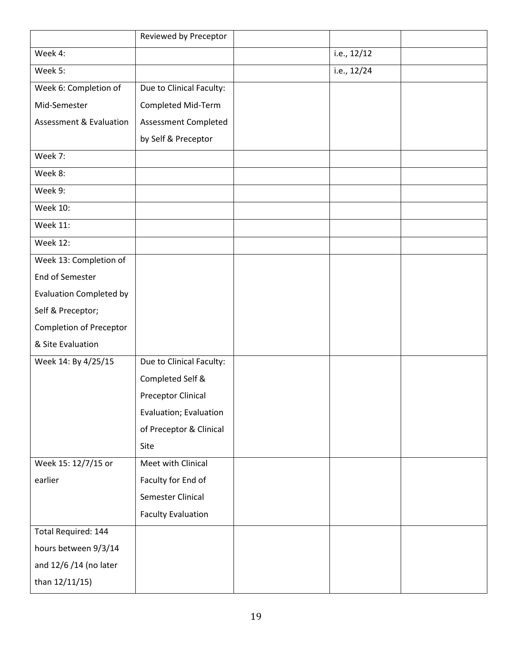|                                    | Reviewed by Preceptor     |               |  |
|------------------------------------|---------------------------|---------------|--|
| Week 4:                            |                           | i.e., $12/12$ |  |
| Week 5:                            |                           | i.e., 12/24   |  |
| Week 6: Completion of              | Due to Clinical Faculty:  |               |  |
| Mid-Semester                       | <b>Completed Mid-Term</b> |               |  |
| <b>Assessment &amp; Evaluation</b> | Assessment Completed      |               |  |
|                                    | by Self & Preceptor       |               |  |
| Week 7:                            |                           |               |  |
| Week 8:                            |                           |               |  |
| Week 9:                            |                           |               |  |
| <b>Week 10:</b>                    |                           |               |  |
| <b>Week 11:</b>                    |                           |               |  |
| <b>Week 12:</b>                    |                           |               |  |
| Week 13: Completion of             |                           |               |  |
| <b>End of Semester</b>             |                           |               |  |
| <b>Evaluation Completed by</b>     |                           |               |  |
| Self & Preceptor;                  |                           |               |  |
| Completion of Preceptor            |                           |               |  |
| & Site Evaluation                  |                           |               |  |
| Week 14: By 4/25/15                | Due to Clinical Faculty:  |               |  |
|                                    | Completed Self &          |               |  |
|                                    | <b>Preceptor Clinical</b> |               |  |
|                                    | Evaluation; Evaluation    |               |  |
|                                    | of Preceptor & Clinical   |               |  |
|                                    | Site                      |               |  |
| Week 15: 12/7/15 or                | Meet with Clinical        |               |  |
| earlier                            | Faculty for End of        |               |  |
|                                    | Semester Clinical         |               |  |
|                                    | <b>Faculty Evaluation</b> |               |  |
| Total Required: 144                |                           |               |  |
| hours between 9/3/14               |                           |               |  |
| and 12/6 /14 (no later             |                           |               |  |
| than 12/11/15)                     |                           |               |  |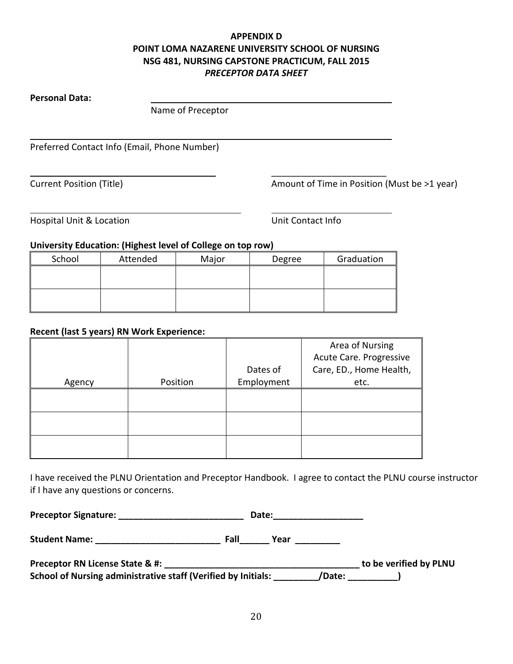#### **APPENDIX D POINT LOMA NAZARENE UNIVERSITY SCHOOL OF NURSING NSG 481, NURSING CAPSTONE PRACTICUM, FALL 2015** *PRECEPTOR DATA SHEET*

#### **Personal Data:**

Name of Preceptor

Preferred Contact Info (Email, Phone Number)

Current Position (Title) Current Position (Title) Amount of Time in Position (Must be >1 year)

Hospital Unit & Location **Notify Contact Unit Contact Info** 

\_\_\_\_\_\_\_\_\_\_\_\_\_\_\_\_\_\_\_\_\_\_\_

#### **University Education: (Highest level of College on top row)**

| School | Attended | Major | Degree | Graduation |
|--------|----------|-------|--------|------------|
|        |          |       |        |            |
|        |          |       |        |            |
|        |          |       |        |            |
|        |          |       |        |            |

#### **Recent (last 5 years) RN Work Experience:**

|        |          |            | Area of Nursing         |
|--------|----------|------------|-------------------------|
|        |          |            | Acute Care. Progressive |
|        |          | Dates of   | Care, ED., Home Health, |
| Agency | Position | Employment | etc.                    |
|        |          |            |                         |
|        |          |            |                         |
|        |          |            |                         |
|        |          |            |                         |
|        |          |            |                         |
|        |          |            |                         |

I have received the PLNU Orientation and Preceptor Handbook. I agree to contact the PLNU course instructor if I have any questions or concerns.

| <b>Preceptor Signature:</b> |  | <b>Date:</b> |
|-----------------------------|--|--------------|
|-----------------------------|--|--------------|

**Student Name: \_\_\_\_\_\_\_\_\_\_\_\_\_\_\_\_\_\_\_\_\_\_\_\_\_ Fall\_\_\_\_\_\_ Year \_\_\_\_\_\_\_\_\_**

| Preceptor RN License State & #:                               | to be verified by PLNU |
|---------------------------------------------------------------|------------------------|
| School of Nursing administrative staff (Verified by Initials: | /Date:                 |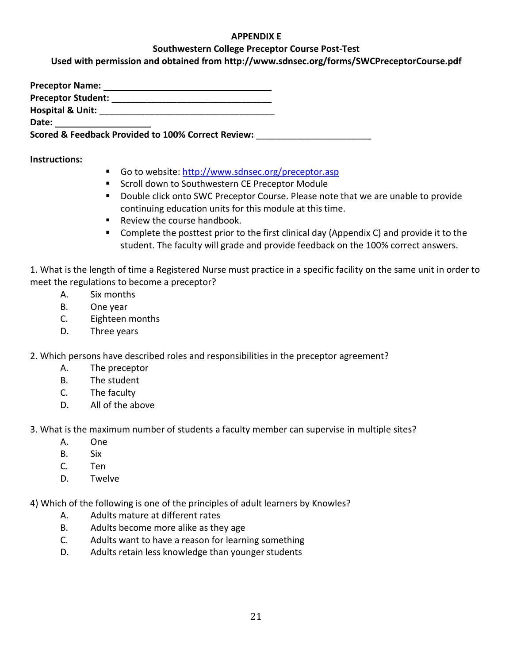#### **APPENDIX E**

#### **Southwestern College Preceptor Course Post-Test**

**Used with permission and obtained from http://www.sdnsec.org/forms/SWCPreceptorCourse.pdf**

**Preceptor Name: Preceptor Student:** \_\_\_\_\_\_\_\_\_\_\_\_\_\_\_\_\_\_\_\_\_\_\_\_\_\_\_\_\_\_\_\_ **Hospital & Unit:** \_\_\_\_\_\_\_\_\_\_\_\_\_\_\_\_\_\_\_\_\_\_\_\_\_\_\_\_\_\_\_\_\_\_\_ **Date:** 

**Scored & Feedback Provided to 100% Correct Review:** \_\_\_\_\_\_\_\_\_\_\_\_\_\_\_\_\_\_\_\_\_\_\_

#### **Instructions:**

- Go to website:<http://www.sdnsec.org/preceptor.asp>
- Scroll down to Southwestern CE Preceptor Module
- Double click onto SWC Preceptor Course. Please note that we are unable to provide continuing education units for this module at this time.
- Review the course handbook.
- Complete the posttest prior to the first clinical day (Appendix C) and provide it to the student. The faculty will grade and provide feedback on the 100% correct answers.

1. What is the length of time a Registered Nurse must practice in a specific facility on the same unit in order to meet the regulations to become a preceptor?

- A. Six months
- B. One year
- C. Eighteen months
- D. Three years

2. Which persons have described roles and responsibilities in the preceptor agreement?

- A. The preceptor
- B. The student
- C. The faculty
- D. All of the above

3. What is the maximum number of students a faculty member can supervise in multiple sites?

- A. One
- B. Six
- C. Ten
- D. Twelve

4) Which of the following is one of the principles of adult learners by Knowles?

- A. Adults mature at different rates
- B. Adults become more alike as they age
- C. Adults want to have a reason for learning something
- D. Adults retain less knowledge than younger students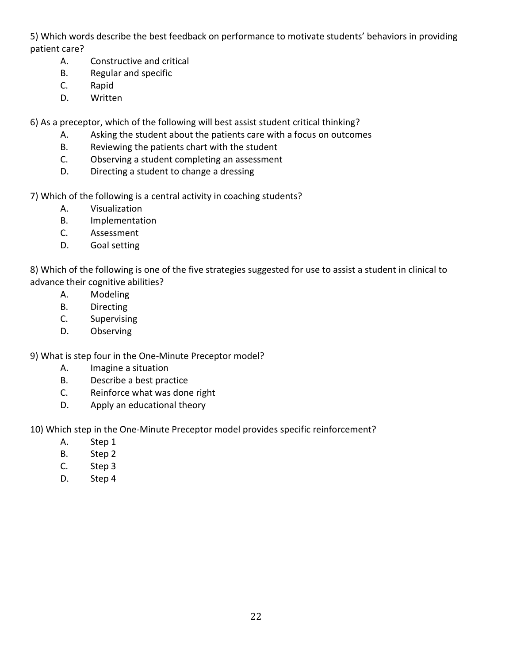5) Which words describe the best feedback on performance to motivate students' behaviors in providing patient care?

- A. Constructive and critical
- B. Regular and specific
- C. Rapid
- D. Written

6) As a preceptor, which of the following will best assist student critical thinking?

- A. Asking the student about the patients care with a focus on outcomes
- B. Reviewing the patients chart with the student
- C. Observing a student completing an assessment
- D. Directing a student to change a dressing

7) Which of the following is a central activity in coaching students?

- A. Visualization
- B. Implementation
- C. Assessment
- D. Goal setting

8) Which of the following is one of the five strategies suggested for use to assist a student in clinical to advance their cognitive abilities?

- A. Modeling
- B. Directing
- C. Supervising
- D. Observing

9) What is step four in the One-Minute Preceptor model?

- A. Imagine a situation
- B. Describe a best practice
- C. Reinforce what was done right
- D. Apply an educational theory

10) Which step in the One-Minute Preceptor model provides specific reinforcement?

- A. Step 1
- B. Step 2
- C. Step 3
- D. Step 4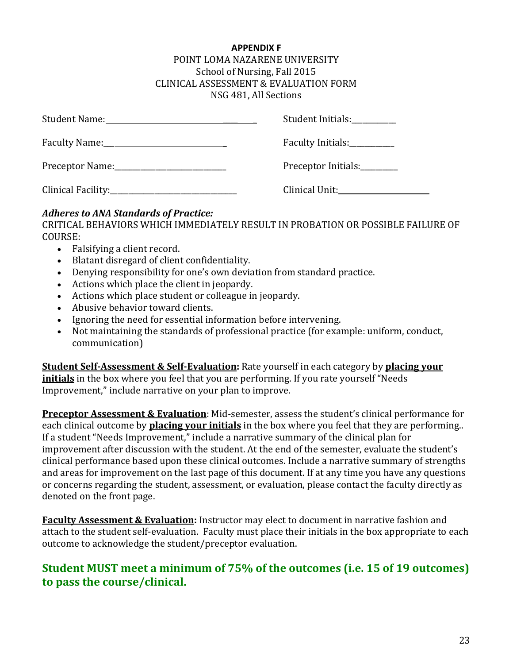#### **APPENDIX F**

#### POINT LOMA NAZARENE UNIVERSITY School of Nursing, Fall 2015 CLINICAL ASSESSMENT & EVALUATION FORM NSG 481, All Sections

|                                             | Student Initials:   |
|---------------------------------------------|---------------------|
|                                             | Faculty Initials:   |
| Preceptor Name: 1990 Manual Preceptor Name: | Preceptor Initials: |
|                                             | Clinical Unit:      |

#### *Adheres to ANA Standards of Practice:*

CRITICAL BEHAVIORS WHICH IMMEDIATELY RESULT IN PROBATION OR POSSIBLE FAILURE OF COURSE:

- Falsifying a client record.
- Blatant disregard of client confidentiality.
- Denying responsibility for one's own deviation from standard practice.
- Actions which place the client in jeopardy.
- Actions which place student or colleague in jeopardy.
- Abusive behavior toward clients.
- Ignoring the need for essential information before intervening.
- Not maintaining the standards of professional practice (for example: uniform, conduct, communication)

**Student Self-Assessment & Self-Evaluation:** Rate yourself in each category by **placing your initials** in the box where you feel that you are performing. If you rate yourself "Needs Improvement," include narrative on your plan to improve.

**Preceptor Assessment & Evaluation**: Mid-semester, assess the student's clinical performance for each clinical outcome by **placing your initials** in the box where you feel that they are performing.. If a student "Needs Improvement," include a narrative summary of the clinical plan for improvement after discussion with the student. At the end of the semester, evaluate the student's clinical performance based upon these clinical outcomes. Include a narrative summary of strengths and areas for improvement on the last page of this document. If at any time you have any questions or concerns regarding the student, assessment, or evaluation, please contact the faculty directly as denoted on the front page.

**Faculty Assessment & Evaluation:** Instructor may elect to document in narrative fashion and attach to the student self-evaluation. Faculty must place their initials in the box appropriate to each outcome to acknowledge the student/preceptor evaluation.

# **Student MUST meet a minimum of 75% of the outcomes (i.e. 15 of 19 outcomes) to pass the course/clinical.**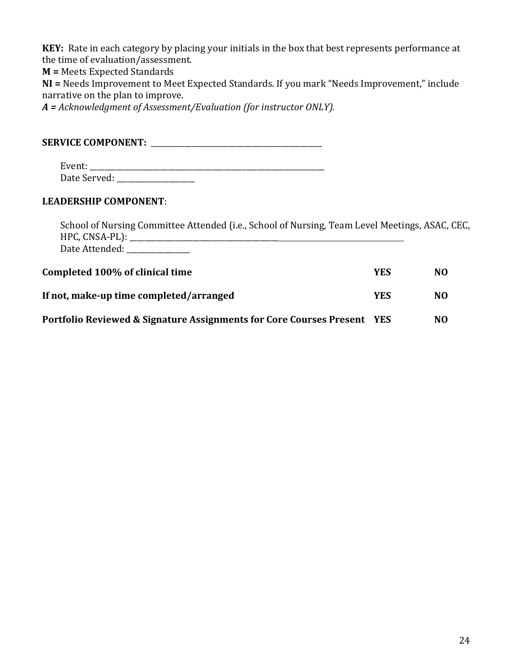**KEY:** Rate in each category by placing your initials in the box that best represents performance at the time of evaluation/assessment.

**M =** Meets Expected Standards

**NI =** Needs Improvement to Meet Expected Standards. If you mark "Needs Improvement," include narrative on the plan to improve.

*A = Acknowledgment of Assessment/Evaluation (for instructor ONLY).*

**SERVICE COMPONENT:** \_\_\_\_\_\_\_\_\_\_\_\_\_\_\_\_\_\_\_\_\_\_\_\_\_\_\_\_\_\_\_\_\_\_\_\_\_\_\_\_\_\_\_\_\_\_

Event: \_\_\_\_\_\_\_\_\_\_\_\_\_\_\_\_\_\_\_\_\_\_\_\_\_\_\_\_\_\_\_\_\_\_\_\_\_\_\_\_\_\_\_\_\_\_\_\_\_\_\_\_\_\_\_\_\_\_\_\_\_\_\_ Date Served: \_\_\_\_\_\_\_\_\_\_\_\_\_\_\_\_\_\_\_\_\_

#### **LEADERSHIP COMPONENT**:

School of Nursing Committee Attended (i.e., School of Nursing, Team Level Meetings, ASAC, CEC, HPC, CNSA-PL): \_\_\_\_\_\_\_\_\_\_\_\_\_\_\_\_\_\_\_\_\_\_\_\_\_\_\_\_\_\_\_\_\_\_\_\_\_\_\_\_ Date Attended: \_\_\_\_\_\_\_\_\_\_\_\_\_\_\_\_

| Completed 100% of clinical time                                     | YES        | N <sub>O</sub> |
|---------------------------------------------------------------------|------------|----------------|
| If not, make-up time completed/arranged                             | YES        | N <sub>O</sub> |
| Portfolio Reviewed & Signature Assignments for Core Courses Present | <b>YES</b> | N <sub>0</sub> |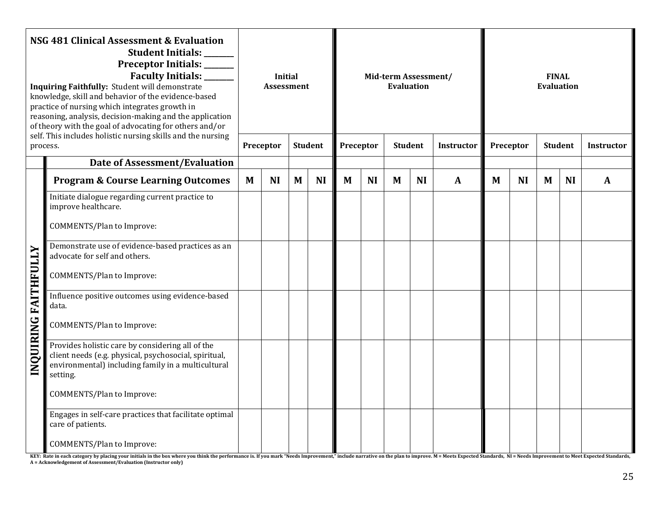| NSG 481 Clinical Assessment & Evaluation<br>Student Initials:<br>Preceptor Initials: _____<br>Faculty Initials: ______<br>Inquiring Faithfully: Student will demonstrate<br>knowledge, skill and behavior of the evidence-based<br>practice of nursing which integrates growth in<br>reasoning, analysis, decision-making and the application<br>of theory with the goal of advocating for others and/or<br>self. This includes holistic nursing skills and the nursing<br>process. |                                                                                                                                                                             |   | <b>Initial</b><br><b>Assessment</b><br>Preceptor<br><b>Student</b> |   |           | Mid-term Assessment/<br><b>Evaluation</b><br>Preceptor<br><b>Student</b><br><b>Instructor</b> |           |   |           |              | <b>FINAL</b><br><b>Evaluation</b><br><b>Student</b><br>Preceptor<br><b>Instructor</b> |           |   |           |              |
|-------------------------------------------------------------------------------------------------------------------------------------------------------------------------------------------------------------------------------------------------------------------------------------------------------------------------------------------------------------------------------------------------------------------------------------------------------------------------------------|-----------------------------------------------------------------------------------------------------------------------------------------------------------------------------|---|--------------------------------------------------------------------|---|-----------|-----------------------------------------------------------------------------------------------|-----------|---|-----------|--------------|---------------------------------------------------------------------------------------|-----------|---|-----------|--------------|
|                                                                                                                                                                                                                                                                                                                                                                                                                                                                                     | <b>Date of Assessment/Evaluation</b>                                                                                                                                        |   |                                                                    |   |           |                                                                                               |           |   |           |              |                                                                                       |           |   |           |              |
|                                                                                                                                                                                                                                                                                                                                                                                                                                                                                     | <b>Program &amp; Course Learning Outcomes</b>                                                                                                                               | M | <b>NI</b>                                                          | M | <b>NI</b> | M                                                                                             | <b>NI</b> | M | <b>NI</b> | $\mathbf{A}$ | M                                                                                     | <b>NI</b> | M | <b>NI</b> | $\mathbf{A}$ |
|                                                                                                                                                                                                                                                                                                                                                                                                                                                                                     | Initiate dialogue regarding current practice to<br>improve healthcare.                                                                                                      |   |                                                                    |   |           |                                                                                               |           |   |           |              |                                                                                       |           |   |           |              |
|                                                                                                                                                                                                                                                                                                                                                                                                                                                                                     | <b>COMMENTS/Plan to Improve:</b>                                                                                                                                            |   |                                                                    |   |           |                                                                                               |           |   |           |              |                                                                                       |           |   |           |              |
|                                                                                                                                                                                                                                                                                                                                                                                                                                                                                     | Demonstrate use of evidence-based practices as an<br>advocate for self and others.                                                                                          |   |                                                                    |   |           |                                                                                               |           |   |           |              |                                                                                       |           |   |           |              |
|                                                                                                                                                                                                                                                                                                                                                                                                                                                                                     | <b>COMMENTS/Plan to Improve:</b>                                                                                                                                            |   |                                                                    |   |           |                                                                                               |           |   |           |              |                                                                                       |           |   |           |              |
| FAITHFULLY                                                                                                                                                                                                                                                                                                                                                                                                                                                                          | Influence positive outcomes using evidence-based<br>data.                                                                                                                   |   |                                                                    |   |           |                                                                                               |           |   |           |              |                                                                                       |           |   |           |              |
|                                                                                                                                                                                                                                                                                                                                                                                                                                                                                     | <b>COMMENTS/Plan to Improve:</b>                                                                                                                                            |   |                                                                    |   |           |                                                                                               |           |   |           |              |                                                                                       |           |   |           |              |
| <b>INOURING</b>                                                                                                                                                                                                                                                                                                                                                                                                                                                                     | Provides holistic care by considering all of the<br>client needs (e.g. physical, psychosocial, spiritual,<br>environmental) including family in a multicultural<br>setting. |   |                                                                    |   |           |                                                                                               |           |   |           |              |                                                                                       |           |   |           |              |
|                                                                                                                                                                                                                                                                                                                                                                                                                                                                                     | <b>COMMENTS/Plan to Improve:</b>                                                                                                                                            |   |                                                                    |   |           |                                                                                               |           |   |           |              |                                                                                       |           |   |           |              |
|                                                                                                                                                                                                                                                                                                                                                                                                                                                                                     | Engages in self-care practices that facilitate optimal<br>care of patients.                                                                                                 |   |                                                                    |   |           |                                                                                               |           |   |           |              |                                                                                       |           |   |           |              |
|                                                                                                                                                                                                                                                                                                                                                                                                                                                                                     | <b>COMMENTS/Plan to Improve:</b>                                                                                                                                            |   |                                                                    |   |           |                                                                                               |           |   |           |              |                                                                                       |           |   |           |              |

KEY: Rate in each category by placing your initials in the box where you think the performance is. If you mark "Needs Improvement," include narrative on the plan to improve. M = Meets Expected Standards, NI = Needs Improve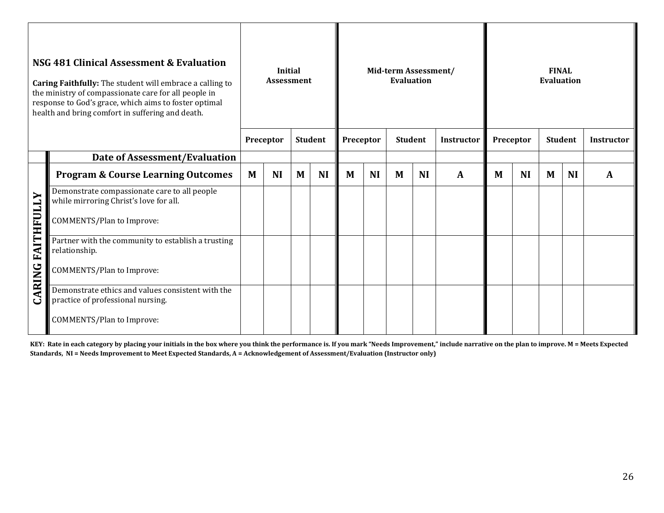|                          | NSG 481 Clinical Assessment & Evaluation<br>Caring Faithfully: The student will embrace a calling to<br>the ministry of compassionate care for all people in<br>response to God's grace, which aims to foster optimal<br>health and bring comfort in suffering and death. | <b>Initial</b><br><b>Assessment</b> |           |   |                | Mid-term Assessment/<br><b>Evaluation</b> |           |                |           |                   | <b>FINAL</b><br><b>Evaluation</b> |           |                |           |                   |  |
|--------------------------|---------------------------------------------------------------------------------------------------------------------------------------------------------------------------------------------------------------------------------------------------------------------------|-------------------------------------|-----------|---|----------------|-------------------------------------------|-----------|----------------|-----------|-------------------|-----------------------------------|-----------|----------------|-----------|-------------------|--|
|                          |                                                                                                                                                                                                                                                                           |                                     | Preceptor |   | <b>Student</b> | Preceptor                                 |           | <b>Student</b> |           | <b>Instructor</b> | Preceptor                         |           | <b>Student</b> |           | <b>Instructor</b> |  |
|                          | Date of Assessment/Evaluation                                                                                                                                                                                                                                             |                                     |           |   |                |                                           |           |                |           |                   |                                   |           |                |           |                   |  |
|                          | <b>Program &amp; Course Learning Outcomes</b>                                                                                                                                                                                                                             | M                                   | <b>NI</b> | M | <b>NI</b>      | M                                         | <b>NI</b> | M              | <b>NI</b> | $\mathbf{A}$      | M                                 | <b>NI</b> | M              | <b>NI</b> | $\mathbf{A}$      |  |
|                          | Demonstrate compassionate care to all people<br>while mirroring Christ's love for all.                                                                                                                                                                                    |                                     |           |   |                |                                           |           |                |           |                   |                                   |           |                |           |                   |  |
|                          | <b>COMMENTS/Plan to Improve:</b>                                                                                                                                                                                                                                          |                                     |           |   |                |                                           |           |                |           |                   |                                   |           |                |           |                   |  |
| <b>CARING FAITHFULLY</b> | Partner with the community to establish a trusting<br>relationship.                                                                                                                                                                                                       |                                     |           |   |                |                                           |           |                |           |                   |                                   |           |                |           |                   |  |
|                          | <b>COMMENTS/Plan to Improve:</b>                                                                                                                                                                                                                                          |                                     |           |   |                |                                           |           |                |           |                   |                                   |           |                |           |                   |  |
|                          | Demonstrate ethics and values consistent with the<br>practice of professional nursing.                                                                                                                                                                                    |                                     |           |   |                |                                           |           |                |           |                   |                                   |           |                |           |                   |  |
|                          | <b>COMMENTS/Plan to Improve:</b>                                                                                                                                                                                                                                          |                                     |           |   |                |                                           |           |                |           |                   |                                   |           |                |           |                   |  |

**KEY: Rate in each category by placing your initials in the box where you think the performance is. If you mark "Needs Improvement," include narrative on the plan to improve. M = Meets Expected Standards, NI = Needs Improvement to Meet Expected Standards, A = Acknowledgement of Assessment/Evaluation (Instructor only)**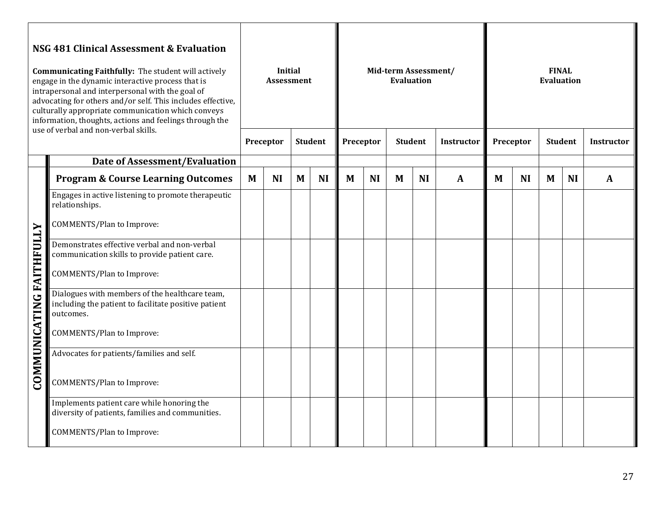| NSG 481 Clinical Assessment & Evaluation<br><b>Communicating Faithfully:</b> The student will actively<br>engage in the dynamic interactive process that is<br>intrapersonal and interpersonal with the goal of<br>advocating for others and/or self. This includes effective,<br>culturally appropriate communication which conveys<br>information, thoughts, actions and feelings through the<br>use of verbal and non-verbal skills. |                                                                                                                     |   | <b>Initial</b><br><b>Assessment</b><br>Preceptor | <b>Student</b> |           | Mid-term Assessment/<br><b>Evaluation</b><br>Preceptor<br><b>Student</b><br><b>Instructor</b> |           |   |           |              | <b>FINAL</b><br><b>Evaluation</b><br><b>Student</b><br>Preceptor<br><b>Instructor</b> |           |   |           |              |
|-----------------------------------------------------------------------------------------------------------------------------------------------------------------------------------------------------------------------------------------------------------------------------------------------------------------------------------------------------------------------------------------------------------------------------------------|---------------------------------------------------------------------------------------------------------------------|---|--------------------------------------------------|----------------|-----------|-----------------------------------------------------------------------------------------------|-----------|---|-----------|--------------|---------------------------------------------------------------------------------------|-----------|---|-----------|--------------|
|                                                                                                                                                                                                                                                                                                                                                                                                                                         | <b>Date of Assessment/Evaluation</b>                                                                                |   |                                                  |                |           |                                                                                               |           |   |           |              |                                                                                       |           |   |           |              |
|                                                                                                                                                                                                                                                                                                                                                                                                                                         | <b>Program &amp; Course Learning Outcomes</b>                                                                       | M | <b>NI</b>                                        | M              | <b>NI</b> | M                                                                                             | <b>NI</b> | M | <b>NI</b> | $\mathbf{A}$ | M                                                                                     | <b>NI</b> | M | <b>NI</b> | $\mathbf{A}$ |
|                                                                                                                                                                                                                                                                                                                                                                                                                                         | Engages in active listening to promote therapeutic<br>relationships.                                                |   |                                                  |                |           |                                                                                               |           |   |           |              |                                                                                       |           |   |           |              |
|                                                                                                                                                                                                                                                                                                                                                                                                                                         | <b>COMMENTS/Plan to Improve:</b>                                                                                    |   |                                                  |                |           |                                                                                               |           |   |           |              |                                                                                       |           |   |           |              |
| FAITHFULLY                                                                                                                                                                                                                                                                                                                                                                                                                              | Demonstrates effective verbal and non-verbal<br>communication skills to provide patient care.                       |   |                                                  |                |           |                                                                                               |           |   |           |              |                                                                                       |           |   |           |              |
|                                                                                                                                                                                                                                                                                                                                                                                                                                         | <b>COMMENTS/Plan to Improve:</b>                                                                                    |   |                                                  |                |           |                                                                                               |           |   |           |              |                                                                                       |           |   |           |              |
| <b>COMMUNICATING</b>                                                                                                                                                                                                                                                                                                                                                                                                                    | Dialogues with members of the healthcare team,<br>including the patient to facilitate positive patient<br>outcomes. |   |                                                  |                |           |                                                                                               |           |   |           |              |                                                                                       |           |   |           |              |
|                                                                                                                                                                                                                                                                                                                                                                                                                                         | <b>COMMENTS/Plan to Improve:</b>                                                                                    |   |                                                  |                |           |                                                                                               |           |   |           |              |                                                                                       |           |   |           |              |
|                                                                                                                                                                                                                                                                                                                                                                                                                                         | Advocates for patients/families and self.                                                                           |   |                                                  |                |           |                                                                                               |           |   |           |              |                                                                                       |           |   |           |              |
|                                                                                                                                                                                                                                                                                                                                                                                                                                         | <b>COMMENTS/Plan to Improve:</b>                                                                                    |   |                                                  |                |           |                                                                                               |           |   |           |              |                                                                                       |           |   |           |              |
|                                                                                                                                                                                                                                                                                                                                                                                                                                         | Implements patient care while honoring the<br>diversity of patients, families and communities.                      |   |                                                  |                |           |                                                                                               |           |   |           |              |                                                                                       |           |   |           |              |
|                                                                                                                                                                                                                                                                                                                                                                                                                                         | <b>COMMENTS/Plan to Improve:</b>                                                                                    |   |                                                  |                |           |                                                                                               |           |   |           |              |                                                                                       |           |   |           |              |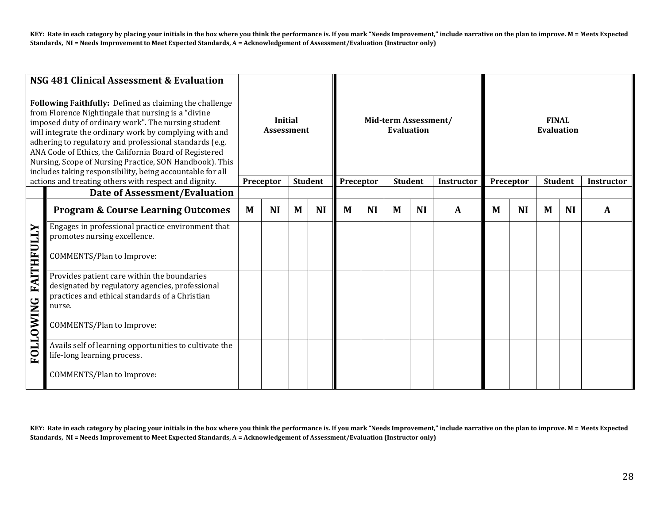KEY: Rate in each category by placing your initials in the box where you think the performance is. If you mark "Needs Improvement," include narrative on the plan to improve. M = Meets Expected **Standards, NI = Needs Improvement to Meet Expected Standards, A = Acknowledgement of Assessment/Evaluation (Instructor only)**

|                   | NSG 481 Clinical Assessment & Evaluation<br>Following Faithfully: Defined as claiming the challenge<br>from Florence Nightingale that nursing is a "divine<br>imposed duty of ordinary work". The nursing student<br>will integrate the ordinary work by complying with and<br>adhering to regulatory and professional standards (e.g.<br>ANA Code of Ethics, the California Board of Registered<br>Nursing, Scope of Nursing Practice, SON Handbook). This<br>includes taking responsibility, being accountable for all | <b>Initial</b><br><b>Assessment</b><br><b>Student</b><br>Preceptor |           |   |           |           |           | Mid-term Assessment/<br><b>Evaluation</b><br><b>Student</b> |           | Instructor | <b>FINAL</b><br><b>Evaluation</b><br><b>Student</b><br>Preceptor |           |   |           |                   |  |
|-------------------|--------------------------------------------------------------------------------------------------------------------------------------------------------------------------------------------------------------------------------------------------------------------------------------------------------------------------------------------------------------------------------------------------------------------------------------------------------------------------------------------------------------------------|--------------------------------------------------------------------|-----------|---|-----------|-----------|-----------|-------------------------------------------------------------|-----------|------------|------------------------------------------------------------------|-----------|---|-----------|-------------------|--|
|                   | actions and treating others with respect and dignity.<br>Date of Assessment/Evaluation                                                                                                                                                                                                                                                                                                                                                                                                                                   |                                                                    |           |   |           | Preceptor |           |                                                             |           |            |                                                                  |           |   |           | <b>Instructor</b> |  |
|                   | <b>Program &amp; Course Learning Outcomes</b>                                                                                                                                                                                                                                                                                                                                                                                                                                                                            | M                                                                  | <b>NI</b> | M | <b>NI</b> | M         | <b>NI</b> | M                                                           | <b>NI</b> | A          | M                                                                | <b>NI</b> | M | <b>NI</b> | A                 |  |
| <b>FAITHFULLY</b> | Engages in professional practice environment that<br>promotes nursing excellence.<br>COMMENTS/Plan to Improve:                                                                                                                                                                                                                                                                                                                                                                                                           |                                                                    |           |   |           |           |           |                                                             |           |            |                                                                  |           |   |           |                   |  |
| <b>FOLLOWING</b>  | Provides patient care within the boundaries<br>designated by regulatory agencies, professional<br>practices and ethical standards of a Christian<br>nurse.<br><b>COMMENTS/Plan to Improve:</b>                                                                                                                                                                                                                                                                                                                           |                                                                    |           |   |           |           |           |                                                             |           |            |                                                                  |           |   |           |                   |  |
|                   | Avails self of learning opportunities to cultivate the<br>life-long learning process.<br><b>COMMENTS/Plan to Improve:</b>                                                                                                                                                                                                                                                                                                                                                                                                |                                                                    |           |   |           |           |           |                                                             |           |            |                                                                  |           |   |           |                   |  |

**KEY: Rate in each category by placing your initials in the box where you think the performance is. If you mark "Needs Improvement," include narrative on the plan to improve. M = Meets Expected Standards, NI = Needs Improvement to Meet Expected Standards, A = Acknowledgement of Assessment/Evaluation (Instructor only)**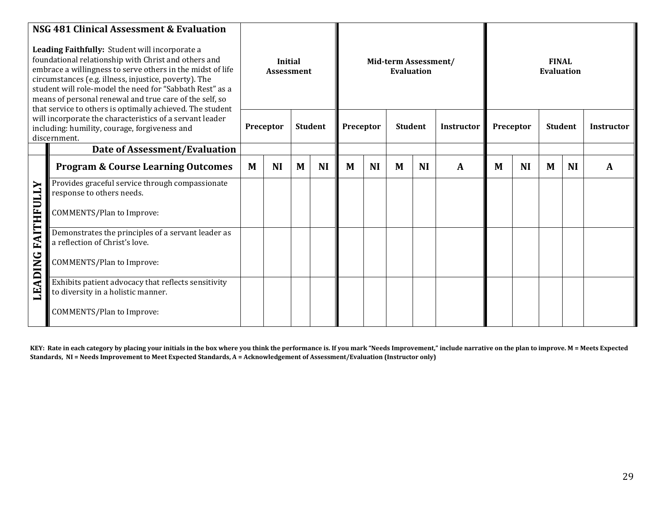|            | NSG 481 Clinical Assessment & Evaluation                                                                                                                                                                                                                                                                                                                                                                          |   |           |                              |                |           |           |                                           |           |                   |   |           |                            |           |                   |  |
|------------|-------------------------------------------------------------------------------------------------------------------------------------------------------------------------------------------------------------------------------------------------------------------------------------------------------------------------------------------------------------------------------------------------------------------|---|-----------|------------------------------|----------------|-----------|-----------|-------------------------------------------|-----------|-------------------|---|-----------|----------------------------|-----------|-------------------|--|
|            | Leading Faithfully: Student will incorporate a<br>foundational relationship with Christ and others and<br>embrace a willingness to serve others in the midst of life<br>circumstances (e.g. illness, injustice, poverty). The<br>student will role-model the need for "Sabbath Rest" as a<br>means of personal renewal and true care of the self, so<br>that service to others is optimally achieved. The student |   |           | Initial<br><b>Assessment</b> |                |           |           | Mid-term Assessment/<br><b>Evaluation</b> |           |                   |   |           | <b>FINAL</b><br>Evaluation |           |                   |  |
|            | will incorporate the characteristics of a servant leader<br>including: humility, courage, forgiveness and<br>discernment.                                                                                                                                                                                                                                                                                         |   | Preceptor |                              | <b>Student</b> | Preceptor |           | <b>Student</b>                            |           | <b>Instructor</b> |   | Preceptor | <b>Student</b>             |           | <b>Instructor</b> |  |
|            | Date of Assessment/Evaluation                                                                                                                                                                                                                                                                                                                                                                                     |   |           |                              |                |           |           |                                           |           |                   |   |           |                            |           |                   |  |
|            | <b>Program &amp; Course Learning Outcomes</b>                                                                                                                                                                                                                                                                                                                                                                     | M | <b>NI</b> | M                            | <b>NI</b>      | M         | <b>NI</b> | M                                         | <b>NI</b> | $\mathbf{A}$      | M | <b>NI</b> | M                          | <b>NI</b> | A                 |  |
|            | Provides graceful service through compassionate<br>response to others needs.                                                                                                                                                                                                                                                                                                                                      |   |           |                              |                |           |           |                                           |           |                   |   |           |                            |           |                   |  |
| FAITHFULLY | <b>COMMENTS/Plan to Improve:</b>                                                                                                                                                                                                                                                                                                                                                                                  |   |           |                              |                |           |           |                                           |           |                   |   |           |                            |           |                   |  |
|            | Demonstrates the principles of a servant leader as<br>a reflection of Christ's love.                                                                                                                                                                                                                                                                                                                              |   |           |                              |                |           |           |                                           |           |                   |   |           |                            |           |                   |  |
| ADING      | <b>COMMENTS/Plan to Improve:</b>                                                                                                                                                                                                                                                                                                                                                                                  |   |           |                              |                |           |           |                                           |           |                   |   |           |                            |           |                   |  |
| E          | Exhibits patient advocacy that reflects sensitivity<br>to diversity in a holistic manner.                                                                                                                                                                                                                                                                                                                         |   |           |                              |                |           |           |                                           |           |                   |   |           |                            |           |                   |  |
|            | <b>COMMENTS/Plan to Improve:</b>                                                                                                                                                                                                                                                                                                                                                                                  |   |           |                              |                |           |           |                                           |           |                   |   |           |                            |           |                   |  |

**KEY: Rate in each category by placing your initials in the box where you think the performance is. If you mark "Needs Improvement," include narrative on the plan to improve. M = Meets Expected Standards, NI = Needs Improvement to Meet Expected Standards, A = Acknowledgement of Assessment/Evaluation (Instructor only)**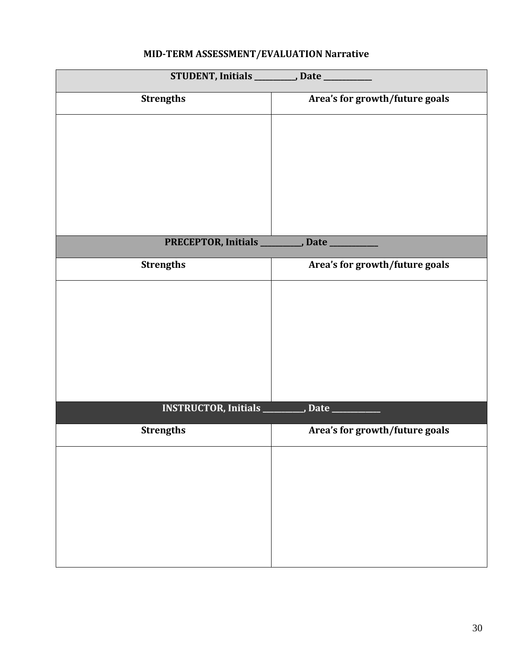# **STUDENT, Initials \_\_\_\_\_\_\_\_\_\_\_, Date \_\_\_\_\_\_\_\_\_\_\_\_\_ Strengths Area's for growth/future goals** PRECEPTOR, Initials \_\_\_\_\_\_\_\_\_, Date \_ **Strengths Area's for growth/future goals INSTRUCTOR, Initials \_\_\_\_\_\_\_\_\_\_\_, Date \_\_\_\_\_\_\_\_\_\_\_\_\_ Strengths Area's for growth/future goals**

# **MID-TERM ASSESSMENT/EVALUATION Narrative**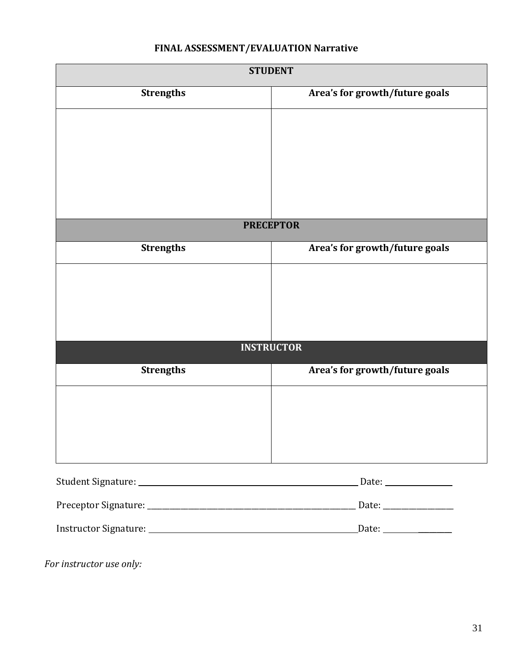# **FINAL ASSESSMENT/EVALUATION Narrative**

|                  | <b>STUDENT</b>                 |
|------------------|--------------------------------|
| <b>Strengths</b> | Area's for growth/future goals |
|                  |                                |
|                  |                                |
|                  |                                |
|                  |                                |
|                  |                                |
|                  | <b>PRECEPTOR</b>               |
|                  |                                |
| <b>Strengths</b> | Area's for growth/future goals |
|                  |                                |
|                  |                                |
|                  |                                |
|                  |                                |
|                  | <b>INSTRUCTOR</b>              |
| <b>Strengths</b> | Area's for growth/future goals |
|                  |                                |
|                  |                                |
|                  |                                |
|                  |                                |
|                  |                                |
|                  |                                |

Instructor Signature: Date: \_\_\_\_\_\_\_\_\_

*For instructor use only:*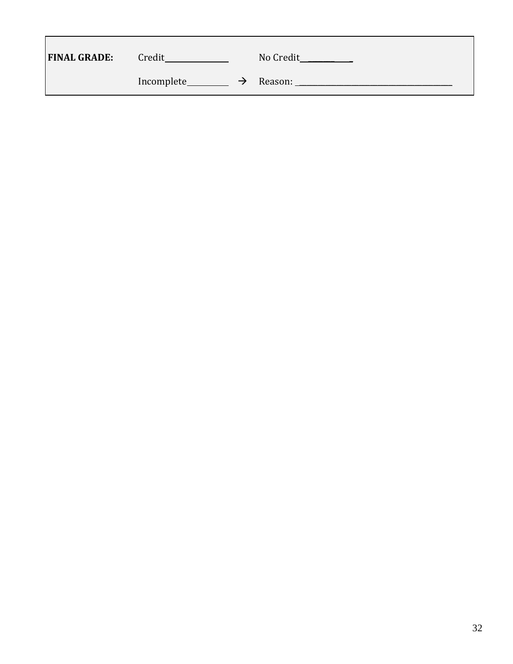| <b>FINAL GRADE:</b> | Credit                      | No Credit |
|---------------------|-----------------------------|-----------|
|                     | Incomplete<br>$\rightarrow$ | Reason:   |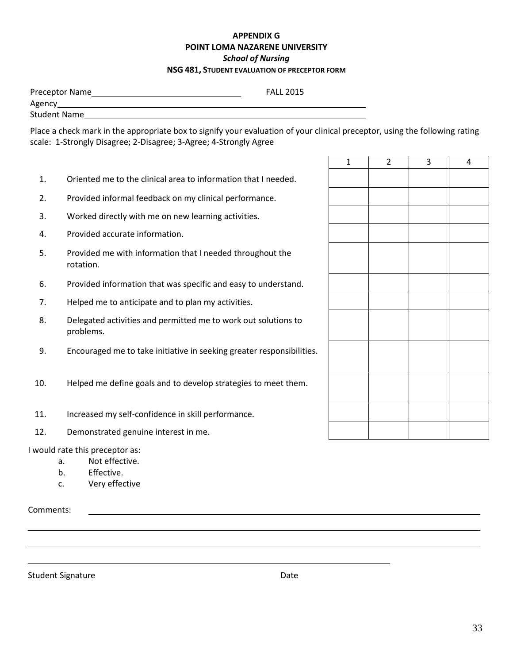#### **APPENDIX G POINT LOMA NAZARENE UNIVERSITY** *School of Nursing* **NSG 481, STUDENT EVALUATION OF PRECEPTOR FORM**

| Preceptor Name      | <b>FALL 2015</b>                                                                                              |
|---------------------|---------------------------------------------------------------------------------------------------------------|
| Agency              |                                                                                                               |
| <b>Student Name</b> |                                                                                                               |
|                     | موزون استخدمتهم المتمازلة سيميركم ومنخسبا ويمسي بالتواصل وخبيما وخوزوه وموسوم وعادونا باستور بامتحام والممراة |

Place a check mark in the appropriate box to signify your evaluation of your clinical preceptor, using the following rating scale: 1-Strongly Disagree; 2-Disagree; 3-Agree; 4-Strongly Agree

- 1. Oriented me to the clinical area to information that I needed.
- 2. Provided informal feedback on my clinical performance.
- 3. Worked directly with me on new learning activities.
- 4. Provided accurate information.
- 5. Provided me with information that I needed throughout the rotation.
- 6. Provided information that was specific and easy to understand.
- 7. Helped me to anticipate and to plan my activities.
- 8. Delegated activities and permitted me to work out solutions to problems.
- 9. Encouraged me to take initiative in seeking greater responsibilities.
- 10. Helped me define goals and to develop strategies to meet them.
- 11. Increased my self-confidence in skill performance.
- 12. Demonstrated genuine interest in me.

I would rate this preceptor as:

- a. Not effective.
- b. Effective.
- c. Very effective

Comments:

Student Signature Date Date Controller and Date Date

 $1 \mid 2 \mid 3 \mid 4$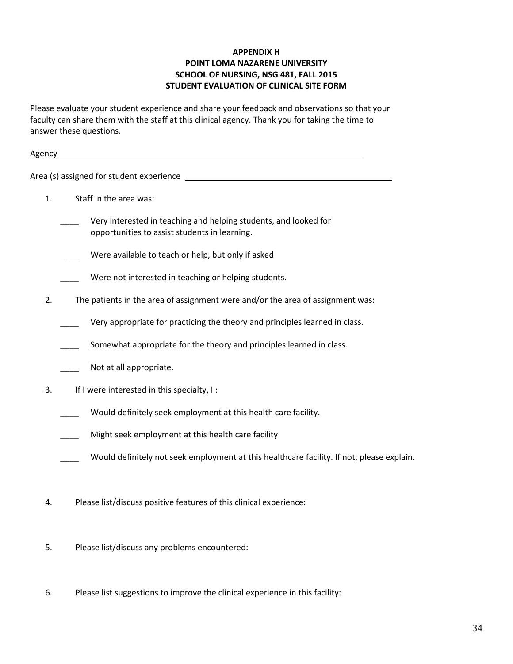#### **APPENDIX H POINT LOMA NAZARENE UNIVERSITY SCHOOL OF NURSING, NSG 481, FALL 2015 STUDENT EVALUATION OF CLINICAL SITE FORM**

Please evaluate your student experience and share your feedback and observations so that your faculty can share them with the staff at this clinical agency. Thank you for taking the time to answer these questions.

| Agency _ | <u> 1989 - Johann Harry Harry Harry Harry Harry Harry Harry Harry Harry Harry Harry Harry Harry Harry Harry Harry</u> |
|----------|-----------------------------------------------------------------------------------------------------------------------|
|          |                                                                                                                       |
| 1.       | Staff in the area was:                                                                                                |
|          | Very interested in teaching and helping students, and looked for<br>opportunities to assist students in learning.     |
|          | Were available to teach or help, but only if asked                                                                    |
|          | Were not interested in teaching or helping students.                                                                  |
| 2.       | The patients in the area of assignment were and/or the area of assignment was:                                        |
|          | Very appropriate for practicing the theory and principles learned in class.                                           |
|          | Somewhat appropriate for the theory and principles learned in class.                                                  |
|          | Not at all appropriate.                                                                                               |
| 3.       | If I were interested in this specialty, I:                                                                            |
|          | Would definitely seek employment at this health care facility.                                                        |
|          | Might seek employment at this health care facility                                                                    |
|          | Would definitely not seek employment at this healthcare facility. If not, please explain.                             |
| 4.       | Please list/discuss positive features of this clinical experience:                                                    |

- 5. Please list/discuss any problems encountered:
- 6. Please list suggestions to improve the clinical experience in this facility: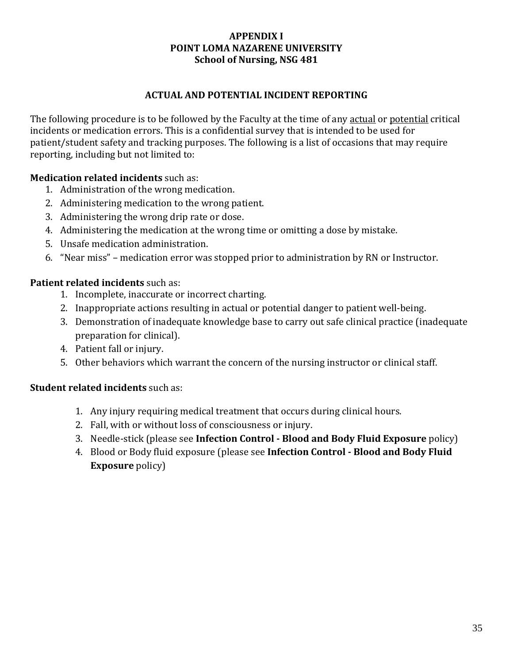# **APPENDIX I POINT LOMA NAZARENE UNIVERSITY School of Nursing, NSG 481**

# **ACTUAL AND POTENTIAL INCIDENT REPORTING**

The following procedure is to be followed by the Faculty at the time of any actual or potential critical incidents or medication errors. This is a confidential survey that is intended to be used for patient/student safety and tracking purposes. The following is a list of occasions that may require reporting, including but not limited to:

# **Medication related incidents** such as:

- 1. Administration of the wrong medication.
- 2. Administering medication to the wrong patient.
- 3. Administering the wrong drip rate or dose.
- 4. Administering the medication at the wrong time or omitting a dose by mistake.
- 5. Unsafe medication administration.
- 6. "Near miss" medication error was stopped prior to administration by RN or Instructor.

# **Patient related incidents** such as:

- 1. Incomplete, inaccurate or incorrect charting.
- 2. Inappropriate actions resulting in actual or potential danger to patient well-being.
- 3. Demonstration of inadequate knowledge base to carry out safe clinical practice (inadequate preparation for clinical).
- 4. Patient fall or injury.
- 5. Other behaviors which warrant the concern of the nursing instructor or clinical staff.

# **Student related incidents** such as:

- 1. Any injury requiring medical treatment that occurs during clinical hours.
- 2. Fall, with or without loss of consciousness or injury.
- 3. Needle-stick (please see **Infection Control - Blood and Body Fluid Exposure** policy)
- 4. Blood or Body fluid exposure (please see **Infection Control - Blood and Body Fluid Exposure** policy)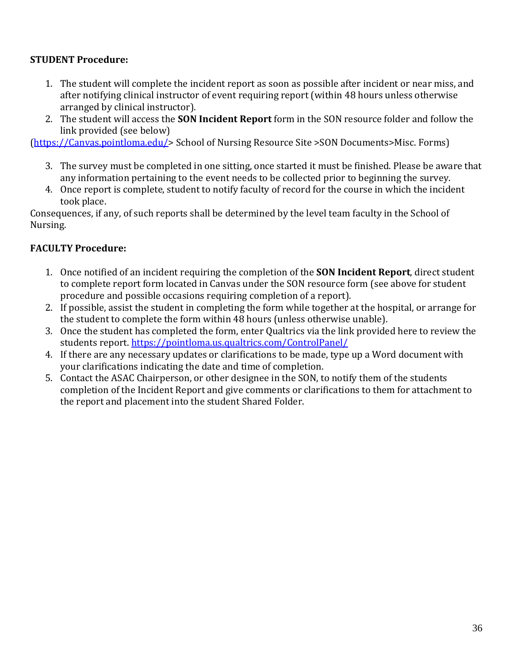# **STUDENT Procedure:**

- 1. The student will complete the incident report as soon as possible after incident or near miss, and after notifying clinical instructor of event requiring report (within 48 hours unless otherwise arranged by clinical instructor).
- 2. The student will access the **SON Incident Report** form in the SON resource folder and follow the link provided (see below)

[\(https://Canvas.pointloma.edu/>](https://eclass.pointloma.edu/) School of Nursing Resource Site >SON Documents>Misc. Forms)

- 3. The survey must be completed in one sitting, once started it must be finished. Please be aware that any information pertaining to the event needs to be collected prior to beginning the survey.
- 4. Once report is complete, student to notify faculty of record for the course in which the incident took place.

Consequences, if any, of such reports shall be determined by the level team faculty in the School of Nursing.

# **FACULTY Procedure:**

- 1. Once notified of an incident requiring the completion of the **SON Incident Report**, direct student to complete report form located in Canvas under the SON resource form (see above for student procedure and possible occasions requiring completion of a report).
- 2. If possible, assist the student in completing the form while together at the hospital, or arrange for the student to complete the form within 48 hours (unless otherwise unable).
- 3. Once the student has completed the form, enter Qualtrics via the link provided here to review the students report.<https://pointloma.us.qualtrics.com/ControlPanel/>
- 4. If there are any necessary updates or clarifications to be made, type up a Word document with your clarifications indicating the date and time of completion.
- 5. Contact the ASAC Chairperson, or other designee in the SON, to notify them of the students completion of the Incident Report and give comments or clarifications to them for attachment to the report and placement into the student Shared Folder.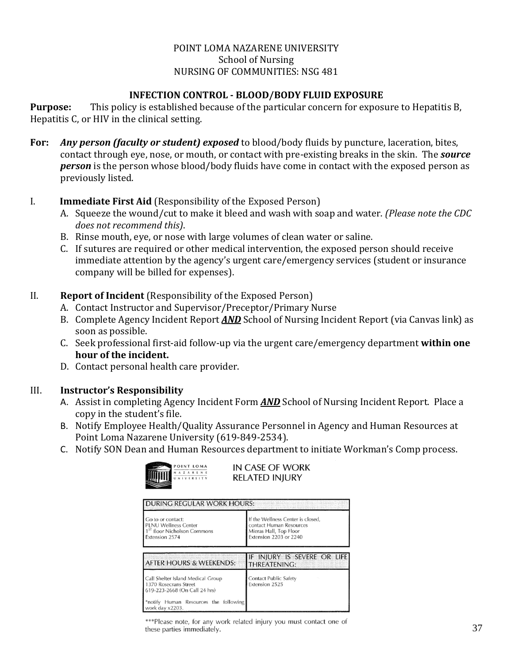#### POINT LOMA NAZARENE UNIVERSITY School of Nursing NURSING OF COMMUNITIES: NSG 481

# **INFECTION CONTROL - BLOOD/BODY FLUID EXPOSURE**

**Purpose:** This policy is established because of the particular concern for exposure to Hepatitis B, Hepatitis C, or HIV in the clinical setting.

**For:** *Any person (faculty or student) exposed* to blood/body fluids by puncture, laceration, bites, contact through eye, nose, or mouth, or contact with pre-existing breaks in the skin. The *source person* is the person whose blood/body fluids have come in contact with the exposed person as previously listed.

# I. **Immediate First Aid** (Responsibility of the Exposed Person)

- A. Squeeze the wound/cut to make it bleed and wash with soap and water. *(Please note the CDC does not recommend this)*.
- B. Rinse mouth, eye, or nose with large volumes of clean water or saline.
- C. If sutures are required or other medical intervention, the exposed person should receive immediate attention by the agency's urgent care/emergency services (student or insurance company will be billed for expenses).

#### II. **Report of Incident** (Responsibility of the Exposed Person)

- A. Contact Instructor and Supervisor/Preceptor/Primary Nurse
- B. Complete Agency Incident Report *AND* School of Nursing Incident Report (via Canvas link) as soon as possible.
- C. Seek professional first-aid follow-up via the urgent care/emergency department **within one hour of the incident.**
- D. Contact personal health care provider.

# III. **Instructor's Responsibility**

- A. Assist in completing Agency Incident Form *AND* School of Nursing Incident Report. Place a copy in the student's file.
- B. Notify Employee Health/Quality Assurance Personnel in Agency and Human Resources at Point Loma Nazarene University (619-849-2534).
- C. Notify SON Dean and Human Resources department to initiate Workman's Comp process.

|                  | POINT LOM |  |  |  |   |
|------------------|-----------|--|--|--|---|
|                  |           |  |  |  | N |
| <b>HIIIIIIII</b> |           |  |  |  |   |

IN CASE OF WORK **RELATED INJURY** 

| <b>DURING REGULAR WORK HOURS:</b><br>Go to or contact:<br><b>PLNU Wellness Center</b><br>1 <sup>5T</sup> floor Nicholson Commons<br>Extension 2574      | If the Wellness Center is closed,<br>contact Human Resources<br>Mieras Hall, Top Floor<br>Extension 2203 or 2240 |  |  |  |  |  |
|---------------------------------------------------------------------------------------------------------------------------------------------------------|------------------------------------------------------------------------------------------------------------------|--|--|--|--|--|
| <b>AFTER HOURS &amp; WEEKENDS:</b>                                                                                                                      | IF INJURY IS SEVERE OR LIFE<br><b>THREATENING:</b>                                                               |  |  |  |  |  |
| Call Shelter Island Medical Group<br>1370 Rosecrans Street<br>619-223-2668 (On Call 24 hrs)<br>*notify Human Resources the following<br>work day x2203. | Contact Public Safety<br>Extension 2525                                                                          |  |  |  |  |  |

\*\*\*Please note, for any work related injury you must contact one of these parties immediately.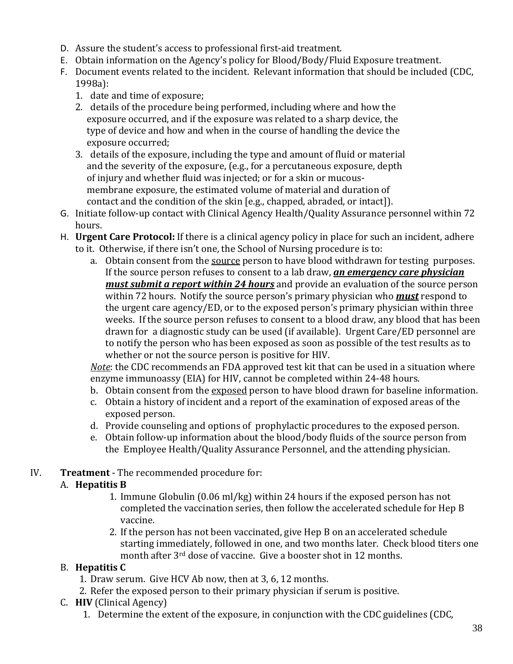- D. Assure the student's access to professional first-aid treatment.
- E. Obtain information on the Agency's policy for Blood/Body/Fluid Exposure treatment.
- F. Document events related to the incident. Relevant information that should be included (CDC, 1998a):
	- 1. date and time of exposure;
	- 2. details of the procedure being performed, including where and how the exposure occurred, and if the exposure was related to a sharp device, the type of device and how and when in the course of handling the device the exposure occurred;
	- 3. details of the exposure, including the type and amount of fluid or material and the severity of the exposure, (e.g., for a percutaneous exposure, depth of injury and whether fluid was injected; or for a skin or mucous membrane exposure, the estimated volume of material and duration of contact and the condition of the skin [e.g., chapped, abraded, or intact]).
- G. Initiate follow-up contact with Clinical Agency Health/Quality Assurance personnel within 72 hours.
- H. **Urgent Care Protocol:** If there is a clinical agency policy in place for such an incident, adhere to it. Otherwise, if there isn't one, the School of Nursing procedure is to:
	- a. Obtain consent from the source person to have blood withdrawn for testing purposes. If the source person refuses to consent to a lab draw, *an emergency care physician must submit a report within 24 hours* and provide an evaluation of the source person within 72 hours. Notify the source person's primary physician who *must* respond to the urgent care agency/ED, or to the exposed person's primary physician within three weeks. If the source person refuses to consent to a blood draw, any blood that has been drawn for a diagnostic study can be used (if available). Urgent Care/ED personnel are to notify the person who has been exposed as soon as possible of the test results as to whether or not the source person is positive for HIV.

*Note*: the CDC recommends an FDA approved test kit that can be used in a situation where enzyme immunoassy (EIA) for HIV, cannot be completed within 24-48 hours.

- b. Obtain consent from the exposed person to have blood drawn for baseline information.
- c. Obtain a history of incident and a report of the examination of exposed areas of the exposed person.
- d. Provide counseling and options of prophylactic procedures to the exposed person.
- e. Obtain follow-up information about the blood/body fluids of the source person from the Employee Health/Quality Assurance Personnel, and the attending physician.
- IV. **Treatment** The recommended procedure for:

# A. **Hepatitis B**

- 1. Immune Globulin (0.06 ml/kg) within 24 hours if the exposed person has not completed the vaccination series, then follow the accelerated schedule for Hep B vaccine.
- 2. If the person has not been vaccinated, give Hep B on an accelerated schedule starting immediately, followed in one, and two months later. Check blood titers one month after 3rd dose of vaccine. Give a booster shot in 12 months.

# B. **Hepatitis C**

- 1. Draw serum. Give HCV Ab now, then at 3, 6, 12 months.
- 2. Refer the exposed person to their primary physician if serum is positive.
- C. **HIV** (Clinical Agency)
	- 1. Determine the extent of the exposure, in conjunction with the CDC guidelines (CDC,